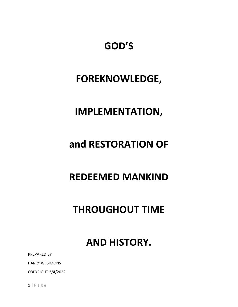# **GOD'S**

## **FOREKNOWLEDGE,**

## **IMPLEMENTATION,**

## **and RESTORATION OF**

## **REDEEMED MANKIND**

# **THROUGHOUT TIME**

## **AND HISTORY.**

PREPARED BY

HARRY W. SIMONS

COPYRIGHT 3/4/2022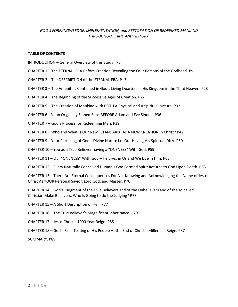#### *GOD'S FOREKNOWLEDGE, IMPLEMENTATION, and RESTORATION OF REDEEMED MANKIND THROUGHOUT TIME AND HISTORY.*

#### **TABLE OF CONTENTS**

- INTRODUCTION General Overview of this Study. P3
- CHAPTER 1 The ETERNAL ERA Before Creation Revealing the Four Persons of the Godhead. P9
- CHAPTER 2 The DESCRIPTION of the ETERNAL ERA. P13
- CHAPTER 3 The Amenities Contained in God's Living Quarters in His Kingdom in the Third Heaven. P23
- CHAPTER 4 The Beginning of the Successive Ages of Creation. P27
- CHAPTER 5 The Creation of Mankind with BOTH A Physical and A Spiritual Nature. P32
- CHAPTER 6 –Satan Originally Sinned Eons BEFORE Adam and Eve Sinned. P36
- CHAPTER 7 God's Process for Redeeming Man. P39
- CHAPTER 8 Who and What Is Our New "STANDARD" As A NEW CREATION in Christ? P42
- CHAPTER 9 Your Partaking of God's Divine Nature i.e. Our Having His Spiritual DNA. P50
- CHAPTER 10 You as a True Believer having a "ONENESS" With God. P59
- CHAPTER 11 Our "ONENESS" With God He Lives in Us and We Live in Him. P63
- CHAPTER 12 Every Naturally Conceived Human's God Formed Spirit Returns to God Upon Death. P68

CHAPTER 13 – There Are Eternal Consequences For Not Knowing and Acknowledging the Name of Jesus Christ As YOUR Personal Savior, Lord God, and Master. P70

CHAPTER 14 – God's Judgment of the True Believers and of the Unbelievers and of the so called Christian Make Believers. Who Is Going to do the Judging? P73

- CHAPTER 15 A Short Description of Hell. P77
- CHAPTER 16 The True Believer's Magnificent Inheritance. P79
- CHAPTER 17 Jesus Christ's 1000 Year Reign. P85
- CHAPTER 18 God's Final Testing of His People At the End of Christ's Millennial Reign. P87

SUMMARY. P89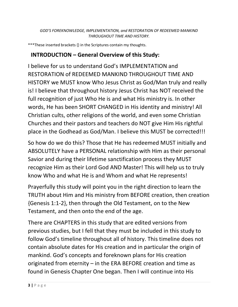\*\*\*These inserted brackets {} in the Scriptures contain my thoughts.

### **INTRODUCTION – General Overview of this Study:**

I believe for us to understand God's IMPLEMENTATION and RESTORATION of REDEEMED MANKIND THROUGHOUT TIME AND HISTORY we MUST know Who Jesus Christ as God/Man truly and really is! I believe that throughout history Jesus Christ has NOT received the full recognition of just Who He is and what His ministry is. In other words, He has been SHORT CHANGED in His identity and ministry! All Christian cults, other religions of the world, and even some Christian Churches and their pastors and teachers do NOT give Him His rightful place in the Godhead as God/Man. I believe this MUST be corrected!!!

So how do we do this? Those that He has redeemed MUST initially and ABSOLUTELY have a PERSONAL relationship with Him as their personal Savior and during their lifetime sanctification process they MUST recognize Him as their Lord God AND Master! This will help us to truly know Who and what He is and Whom and what He represents!

Prayerfully this study will point you in the right direction to learn the TRUTH about Him and His ministry from BEFORE creation, then creation {Genesis 1:1-2}, then through the Old Testament, on to the New Testament, and then onto the end of the age.

There are CHAPTERS in this study that are edited versions from previous studies, but I fell that they must be included in this study to follow God's timeline throughout all of history. This timeline does not contain absolute dates for His creation and in particular the origin of mankind. God's concepts and foreknown plans for His creation originated from eternity – in the ERA BEFORE creation and time as found in Genesis Chapter One began. Then I will continue into His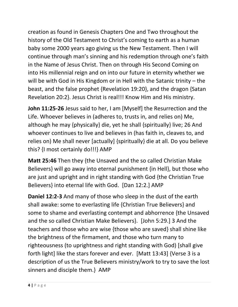creation as found in Genesis Chapters One and Two throughout the history of the Old Testament to Christ's coming to earth as a human baby some 2000 years ago giving us the New Testament. Then I will continue through man's sinning and his redemption through one's faith in the Name of Jesus Christ. Then on through His Second Coming on into His millennial reign and on into our future in eternity whether we will be with God in His Kingdom or in Hell with the Satanic trinity – the beast, and the false prophet {Revelation 19:20}, and the dragon {Satan Revelation 20:2}. Jesus Christ is real!!! Know Him and His ministry.

**John 11:25-26** Jesus said to her, I am [Myself] the Resurrection and the Life. Whoever believes in (adheres to, trusts in, and relies on) Me, although he may {physically} die, yet he shall {spiritually} live; 26 And whoever continues to live and believes in (has faith in, cleaves to, and relies on) Me shall never [actually] {spiritually} die at all. Do you believe this? {I most certainly do!!!} AMP

**Matt 25:46** Then they {the Unsaved and the so called Christian Make Believers} will go away into eternal punishment {in Hell}, but those who are just and upright and in right standing with God {the Christian True Believers} into eternal life with God. [Dan 12:2.] AMP

**Daniel 12:2-3** And many of those who sleep in the dust of the earth shall awake: some to everlasting life {Christian True Believers} and some to shame and everlasting contempt and abhorrence {the Unsaved and the so called Christian Make Believers}. [John 5:29.] 3 And the teachers and those who are wise {those who are saved} shall shine like the brightness of the firmament, and those who turn many to righteousness (to uprightness and right standing with God) [shall give forth light] like the stars forever and ever. [Matt 13:43] {Verse 3 is a description of us the True Believers ministry/work to try to save the lost sinners and disciple them.} AMP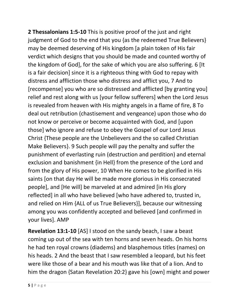**2 Thessalonians 1:5-10** This is positive proof of the just and right judgment of God to the end that you {as the redeemed True Believers} may be deemed deserving of His kingdom [a plain token of His fair verdict which designs that you should be made and counted worthy of the kingdom of God], for the sake of which you are also suffering. 6 [It is a fair decision] since it is a righteous thing with God to repay with distress and affliction those who distress and afflict you, 7 And to [recompense] you who are so distressed and afflicted [by granting you] relief and rest along with us [your fellow sufferers] when the Lord Jesus is revealed from heaven with His mighty angels in a flame of fire, 8 To deal out retribution (chastisement and vengeance) upon those who do not know or perceive or become acquainted with God, and [upon those] who ignore and refuse to obey the Gospel of our Lord Jesus Christ {These people are the Unbelievers and the so called Christian Make Believers}. 9 Such people will pay the penalty and suffer the punishment of everlasting ruin (destruction and perdition) and eternal exclusion and banishment {in Hell} from the presence of the Lord and from the glory of His power, 10 When He comes to be glorified in His saints [on that day He will be made more glorious in His consecrated people], and [He will] be marveled at and admired [in His glory reflected] in all who have believed [who have adhered to, trusted in, and relied on Him {ALL of us True Believers}], because our witnessing among you was confidently accepted and believed [and confirmed in your lives]. AMP

**Revelation 13:1-10** [AS] I stood on the sandy beach, I saw a beast coming up out of the sea with ten horns and seven heads. On his horns he had ten royal crowns (diadems) and blasphemous titles (names) on his heads. 2 And the beast that I saw resembled a leopard, but his feet were like those of a bear and his mouth was like that of a lion. And to him the dragon {Satan Revelation 20:2} gave his [own] might and power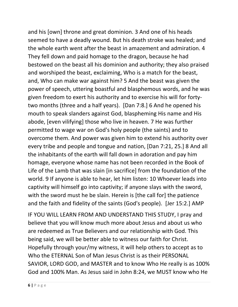and his [own] throne and great dominion. 3 And one of his heads seemed to have a deadly wound. But his death stroke was healed; and the whole earth went after the beast in amazement and admiration. 4 They fell down and paid homage to the dragon, because he had bestowed on the beast all his dominion and authority; they also praised and worshiped the beast, exclaiming, Who is a match for the beast, and, Who can make war against him? 5 And the beast was given the power of speech, uttering boastful and blasphemous words, and he was given freedom to exert his authority and to exercise his will for fortytwo months (three and a half years). [Dan 7:8.] 6 And he opened his mouth to speak slanders against God, blaspheming His name and His abode, [even vilifying] those who live in heaven. 7 He was further permitted to wage war on God's holy people (the saints) and to overcome them. And power was given him to extend his authority over every tribe and people and tongue and nation, [Dan 7:21, 25.] 8 And all the inhabitants of the earth will fall down in adoration and pay him homage, everyone whose name has not been recorded in the Book of Life of the Lamb that was slain [in sacrifice] from the foundation of the world. 9 If anyone is able to hear, let him listen: 10 Whoever leads into captivity will himself go into captivity; if anyone slays with the sword, with the sword must he be slain. Herein is [the call for] the patience and the faith and fidelity of the saints (God's people). [Jer 15:2.] AMP

IF YOU WILL LEARN FROM AND UNDERSTAND THIS STUDY, I pray and believe that you will know much more about Jesus and about us who are redeemed as True Believers and our relationship with God. This being said, we will be better able to witness our faith for Christ. Hopefully through your/my witness, it will help others to accept as to Who the ETERNAL Son of Man Jesus Christ is as their PERSONAL SAVIOR, LORD GOD, and MASTER and to know Who He really is as 100% God and 100% Man. As Jesus said in John 8:24, we MUST know who He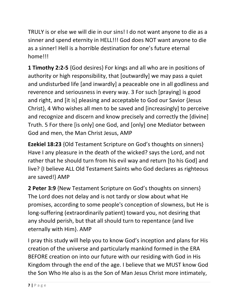TRULY is or else we will die in our sins! I do not want anyone to die as a sinner and spend eternity in HELL!!! God does NOT want anyone to die as a sinner! Hell is a horrible destination for one's future eternal home!!!

**1 Timothy 2:2-5** {God desires} For kings and all who are in positions of authority or high responsibility, that [outwardly] we may pass a quiet and undisturbed life [and inwardly] a peaceable one in all godliness and reverence and seriousness in every way. 3 For such [praying] is good and right, and [it is] pleasing and acceptable to God our Savior {Jesus Christ}, 4 Who wishes all men to be saved and [increasingly] to perceive and recognize and discern and know precisely and correctly the [divine] Truth. 5 For there [is only] one God, and [only] one Mediator between God and men, the Man Christ Jesus, AMP

**Ezekiel 18:23** {Old Testament Scripture on God's thoughts on sinners} Have I any pleasure in the death of the wicked? says the Lord, and not rather that he should turn from his evil way and return [to his God] and live? {I believe ALL Old Testament Saints who God declares as righteous are saved!} AMP

**2 Peter 3:9** {New Testament Scripture on God's thoughts on sinners} The Lord does not delay and is not tardy or slow about what He promises, according to some people's conception of slowness, but He is long-suffering (extraordinarily patient) toward you, not desiring that any should perish, but that all should turn to repentance {and live eternally with Him}. AMP

I pray this study will help you to know God's inception and plans for His creation of the universe and particularly mankind formed in the ERA BEFORE creation on into our future with our residing with God in His Kingdom through the end of the age. I believe that we MUST know God the Son Who He also is as the Son of Man Jesus Christ more intimately,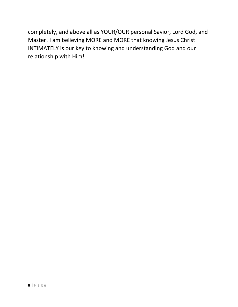completely, and above all as YOUR/OUR personal Savior, Lord God, and Master! I am believing MORE and MORE that knowing Jesus Christ INTIMATELY is our key to knowing and understanding God and our relationship with Him!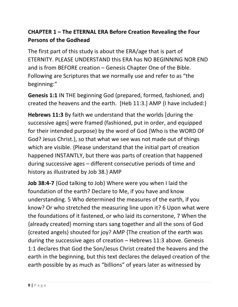### **CHAPTER 1 – The ETERNAL ERA Before Creation Revealing the Four Persons of the Godhead**

The first part of this study is about the ERA/age that is part of ETERNITY. PLEASE UNDERSTAND this ERA has NO BEGINNING NOR END and is from BEFORE creation – Genesis Chapter One of the Bible. Following are Scriptures that we normally use and refer to as "the beginning:"

**Genesis 1:1** IN THE beginning God (prepared, formed, fashioned, and) created the heavens and the earth. [Heb 11:3.] AMP {I have included:}

**Hebrews 11:3** By faith we understand that the worlds [during the successive ages] were framed (fashioned, put in order, and equipped for their intended purpose) by the word of God {Who is the WORD OF God? Jesus Christ.}, so that what we see was not made out of things which are visible. {Please understand that the initial part of creation happened INSTANTLY, but there was parts of creation that happened during successive ages – different consecutive periods of time and history as illustrated by Job 38.} AMP

**Job 38:4-7** {God talking to Job} Where were you when I laid the foundation of the earth? Declare to Me, if you have and know understanding. 5 Who determined the measures of the earth, if you know? Or who stretched the measuring line upon it? 6 Upon what were the foundations of it fastened, or who laid its cornerstone, 7 When the {already created} morning stars sang together and all the sons of God {created angels} shouted for joy? AMP {The creation of the earth was during the successive ages of creation – Hebrews 11:3 above. Genesis 1:1 declares that God the Son/Jesus Christ created the heavens and the earth in the beginning, but this text declares the delayed creation of the earth possible by as much as "billions" of years later as witnessed by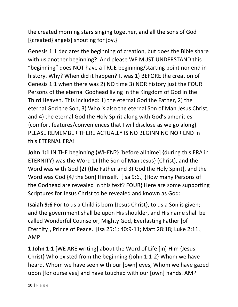the created morning stars singing together, and all the sons of God [{created} angels] shouting for joy.}

Genesis 1:1 declares the beginning of creation, but does the Bible share with us another beginning? And please WE MUST UNDERSTAND this "beginning" does NOT have a TRUE beginning/starting point nor end in history. Why? When did it happen? It was 1) BEFORE the creation of Genesis 1:1 when there was 2) NO time 3) NOR history just the FOUR Persons of the eternal Godhead living in the Kingdom of God in the Third Heaven. This included: 1) the eternal God the Father, 2) the eternal God the Son, 3) Who is also the eternal Son of Man Jesus Christ, and 4) the eternal God the Holy Spirit along with God's amenities {comfort features/conveniences that I will disclose as we go along}. PLEASE REMEMBER THERE ACTUALLY IS NO BEGINNING NOR END in this ETERNAL ERA!

**John 1:1** IN THE beginning {WHEN?} [before all time] {during this ERA in ETERNITY} was the Word 1) {the Son of Man Jesus} (Christ), and the Word was with God {2) {the Father and 3) God the Holy Spirit}, and the Word was God {4*)* the Son} Himself. [Isa 9:6.] {How many Persons of the Godhead are revealed in this text? FOUR} Here are some supporting Scriptures for Jesus Christ to be revealed and known as God:

**Isaiah 9:6** For to us a Child is born {Jesus Christ}, to us a Son is given; and the government shall be upon His shoulder, and His name shall be called Wonderful Counselor, Mighty God, Everlasting Father [of Eternity], Prince of Peace. [Isa 25:1; 40:9-11; Matt 28:18; Luke 2:11.] AMP

**1 John 1:1** [WE ARE writing] about the Word of Life [in] Him {Jesus Christ} Who existed from the beginning {John 1:1-2} Whom we have heard, Whom we have seen with our [own] eyes, Whom we have gazed upon [for ourselves] and have touched with our [own] hands. AMP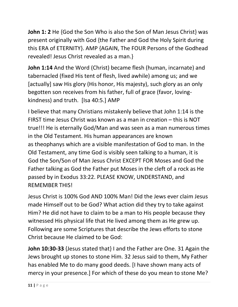**John 1: 2** He {God the Son Who is also the Son of Man Jesus Christ} was present originally with God {the Father and God the Holy Spirit during this ERA of ETERNITY}. AMP {AGAIN, The FOUR Persons of the Godhead revealed! Jesus Christ revealed as a man.}

**John 1:14** And the Word (Christ) became flesh (human, incarnate) and tabernacled (fixed His tent of flesh, lived awhile) among us; and we [actually] saw His glory (His honor, His majesty), such glory as an only begotten son receives from his father, full of grace (favor, lovingkindness) and truth. [Isa 40:5.] AMP

I believe that many Christians mistakenly believe that John 1:14 is the FIRST time Jesus Christ was known as a man in creation – this is NOT true!!! He is eternally God/Man and was seen as a man numerous times in the Old Testament. His human appearances are known as theophanys which are a visible manifestation of God to man. In the Old Testament, any time God is visibly seen talking to a human, it is God the Son/Son of Man Jesus Christ EXCEPT FOR Moses and God the Father talking as God the Father put Moses in the cleft of a rock as He passed by in Exodus 33:22. PLEASE KNOW, UNDERSTAND, and REMEMBER THIS!

Jesus Christ is 100% God AND 100% Man! Did the Jews ever claim Jesus made Himself out to be God? What action did they try to take against Him? He did not have to claim to be a man to His people because they witnessed His physical life that He lived among them as He grew up. Following are some Scriptures that describe the Jews efforts to stone Christ because He claimed to be God:

**John 10:30-33** {Jesus stated that} I and the Father are One. 31 Again the Jews brought up stones to stone Him. 32 Jesus said to them, My Father has enabled Me to do many good deeds. [I have shown many acts of mercy in your presence.] For which of these do you mean to stone Me?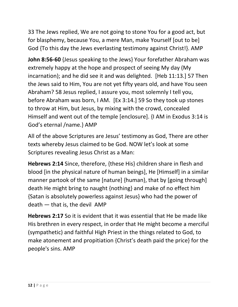33 The Jews replied, We are not going to stone You for a good act, but for blasphemy, because You, a mere Man, make Yourself [out to be] God {To this day the Jews everlasting testimony against Christ!}. AMP

**John 8:56-60** {Jesus speaking to the Jews} Your forefather Abraham was extremely happy at the hope and prospect of seeing My day (My incarnation); and he did see it and was delighted. [Heb 11:13.] 57 Then the Jews said to Him, You are not yet fifty years old, and have You seen Abraham? 58 Jesus replied, I assure you, most solemnly I tell you, before Abraham was born, I AM. [Ex 3:14.] 59 So they took up stones to throw at Him, but Jesus, by mixing with the crowd, concealed Himself and went out of the temple [enclosure]. {I AM in Exodus 3:14 is God's eternal /name.} AMP

All of the above Scriptures are Jesus' testimony as God, There are other texts whereby Jesus claimed to be God. NOW let's look at some Scriptures revealing Jesus Christ as a Man:

**Hebrews 2:14** Since, therefore, {these His} children share in flesh and blood [in the physical nature of human beings], He [Himself] in a similar manner partook of the same [nature] {human}, that by [going through] death He might bring to naught {nothing} and make of no effect him {Satan is absolutely powerless against Jesus} who had the power of death — that is, the devil AMP

**Hebrews 2:17** So it is evident that it was essential that He be made like His brethren in every respect, in order that He might become a merciful (sympathetic) and faithful High Priest in the things related to God, to make atonement and propitiation {Christ's death paid the price} for the people's sins. AMP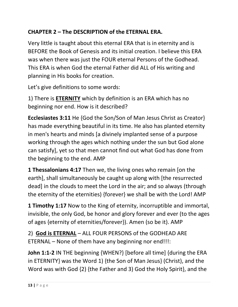### **CHAPTER 2 – The DESCRIPTION of the ETERNAL ERA.**

Very little is taught about this eternal ERA that is in eternity and is BEFORE the Book of Genesis and its initial creation. I believe this ERA was when there was just the FOUR eternal Persons of the Godhead. This ERA is when God the eternal Father did ALL of His writing and planning in His books for creation.

Let's give definitions to some words:

1) There is **ETERNITY** which by definition is an ERA which has no beginning nor end. How is it described?

**Ecclesiastes 3:11** He {God the Son/Son of Man Jesus Christ as Creator} has made everything beautiful in its time. He also has planted eternity in men's hearts and minds [a divinely implanted sense of a purpose working through the ages which nothing under the sun but God alone can satisfy], yet so that men cannot find out what God has done from the beginning to the end. AMP

**1 Thessalonians 4:17** Then we, the living ones who remain [on the earth], shall simultaneously be caught up along with [the resurrected dead] in the clouds to meet the Lord in the air; and so always (through the eternity of the eternities) {forever} we shall be with the Lord! AMP

**1 Timothy 1:17** Now to the King of eternity, incorruptible and immortal, invisible, the only God, be honor and glory forever and ever (to the ages of ages {eternity of eternities/forever}). Amen (so be it). AMP

2) **God is ETERNAL** – ALL FOUR PERSONS of the GODHEAD ARE ETERNAL – None of them have any beginning nor end!!!:

**John 1:1-2** IN THE beginning {WHEN?} [before all time] {during the ERA in ETERNITY} was the Word 1) {the Son of Man Jesus} (Christ), and the Word was with God {2) {the Father and 3) God the Holy Spirit}, and the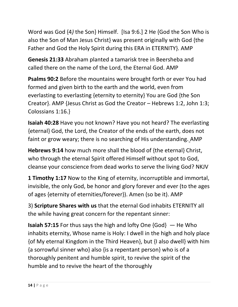Word was God {4*)* the Son} Himself. [Isa 9:6.] 2 He {God the Son Who is also the Son of Man Jesus Christ} was present originally with God {the Father and God the Holy Spirit during this ERA in ETERNITY}. AMP

**Genesis 21:33** Abraham planted a tamarisk tree in Beersheba and called there on the name of the Lord, the Eternal God. AMP

**Psalms 90:2** Before the mountains were brought forth or ever You had formed and given birth to the earth and the world, even from everlasting to everlasting {eternity to eternity} You are God {the Son Creator}. AMP {Jesus Christ as God the Creator – Hebrews 1:2, John 1:3; Colossians 1:16.}

**Isaiah 40:28** Have you not known? Have you not heard? The everlasting {eternal} God, the Lord, the Creator of the ends of the earth, does not faint or grow weary; there is no searching of His understanding. AMP

**Hebrews 9:14** how much more shall the blood of {the eternal} Christ, who through the eternal Spirit offered Himself without spot to God, cleanse your conscience from dead works to serve the living God? NKJV

**1 Timothy 1:17** Now to the King of eternity, incorruptible and immortal, invisible, the only God, be honor and glory forever and ever (to the ages of ages {eternity of eternities/forever}). Amen (so be it). AMP

3) **Scripture Shares with us** that the eternal God inhabits ETERNITY all the while having great concern for the repentant sinner:

**Isaiah 57:15** For thus says the high and lofty One {God} — He Who inhabits eternity, Whose name is Holy: I dwell in the high and holy place {of My eternal Kingdom in the Third Heaven}, but {I also dwell} with him {a sorrowful sinner who} also {is a repentant person} who is of a thoroughly penitent and humble spirit, to revive the spirit of the humble and to revive the heart of the thoroughly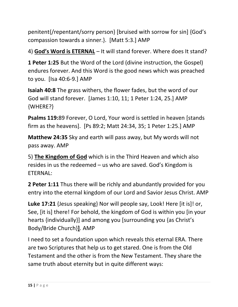penitent{/repentant/sorry person} [bruised with sorrow for sin] {God's compassion towards a sinner.}. [Matt 5:3.] AMP

4) **God's Word is ETERNAL** – It will stand forever. Where does It stand?

**1 Peter 1:25** But the Word of the Lord (divine instruction, the Gospel) endures forever. And this Word is the good news which was preached to you. [Isa 40:6-9.] AMP

**Isaiah 40:8** The grass withers, the flower fades, but the word of our God will stand forever. [James 1:10, 11; 1 Peter 1:24, 25.] AMP {WHERE?}

**Psalms 119:**89 Forever, O Lord, Your word is settled in heaven [stands firm as the heavens]. [Ps 89:2; Matt 24:34, 35; 1 Peter 1:25.] AMP

**Matthew 24:35** Sky and earth will pass away, but My words will not pass away. AMP

5) **The Kingdom of God** which is in the Third Heaven and which also resides in us the redeemed – us who are saved. God's Kingdom is ETERNAL:

**2 Peter 1:11** Thus there will be richly and abundantly provided for you entry into the eternal kingdom of our Lord and Savior Jesus Christ. AMP

**Luke 17:21** {Jesus speaking} Nor will people say, Look! Here [it is]! or, See, [it is] there! For behold, the kingdom of God is within you [in your hearts {individually}] and among you [surrounding you {as Christ's Body/Bride Church}**]**. AMP

I need to set a foundation upon which reveals this eternal ERA. There are two Scriptures that help us to get stared. One is from the Old Testament and the other is from the New Testament. They share the same truth about eternity but in quite different ways: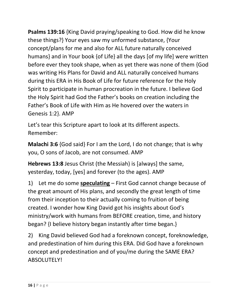**Psalms 139:16** {King David praying/speaking to God. How did he know these things?} Your eyes saw my unformed substance, {Your concept/plans for me and also for ALL future naturally conceived humans} and in Your book {of Life} all the days [of my life] were written before ever they took shape, when as yet there was none of them {God was writing His Plans for David and ALL naturally conceived humans during this ERA in His Book of Life for future reference for the Holy Spirit to participate in human procreation in the future. I believe God the Holy Spirit had God the Father's books on creation including the Father's Book of Life with Him as He hovered over the waters in Genesis 1:2}. AMP

Let's tear this Scripture apart to look at Its different aspects. Remember:

**Malachi 3:6** {God said} For I am the Lord, I do not change; that is why you, O sons of Jacob, are not consumed. AMP

**Hebrews 13:8** Jesus Christ (the Messiah) is [always] the same, yesterday, today, [yes] and forever (to the ages). AMP

1) Let me do some **speculating** – First God cannot change because of the great amount of His plans, and secondly the great length of time from their inception to their actually coming to fruition of being created. I wonder how King David got his insights about God's ministry/work with humans from BEFORE creation, time, and history began? {I believe history began instantly after time began.}

2) King David believed God had a foreknown concept, foreknowledge, and predestination of him during this ERA. Did God have a foreknown concept and predestination and of you/me during the SAME ERA? ABSOLUTELY!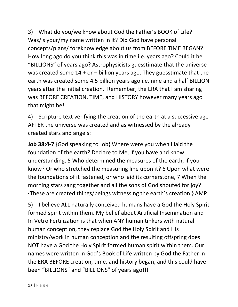3) What do you/we know about God the Father's BOOK of Life? Was/is your/my name written in it? Did God have personal concepts/plans/ foreknowledge about us from BEFORE TIME BEGAN? How long ago do you think this was in time i.e. years ago? Could it be "BILLIONS" of years ago? Astrophysicists guesstimate that the universe was created some  $14 + or - billion$  years ago. They guesstimate that the earth was created some 4.5 billion years ago i.e. nine and a half BILLION years after the initial creation. Remember, the ERA that I am sharing was BEFORE CREATION, TIME, and HISTORY however many years ago that might be!

4) Scripture text verifying the creation of the earth at a successive age AFTER the universe was created and as witnessed by the already created stars and angels:

**Job 38:4-7** {God speaking to Job} Where were you when I laid the foundation of the earth? Declare to Me, if you have and know understanding. 5 Who determined the measures of the earth, if you know? Or who stretched the measuring line upon it? 6 Upon what were the foundations of it fastened, or who laid its cornerstone, 7 When the morning stars sang together and all the sons of God shouted for joy? {These are created things/beings witnessing the earth's creation.} AMP

5) I believe ALL naturally conceived humans have a God the Holy Spirit formed spirit within them. My belief about Artificial Insemination and In Vetro Fertilization is that when ANY human tinkers with natural human conception, they replace God the Holy Spirit and His ministry/work in human conception and the resulting offspring does NOT have a God the Holy Spirit formed human spirit within them. Our names were written in God's Book of Life written by God the Father in the ERA BEFORE creation, time, and history began, and this could have been "BILLIONS" and "BILLIONS" of years ago!!!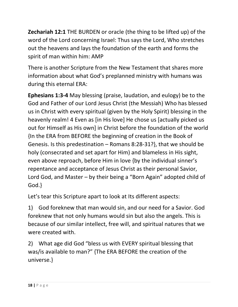**Zechariah 12:1** THE BURDEN or oracle (the thing to be lifted up) of the word of the Lord concerning Israel: Thus says the Lord, Who stretches out the heavens and lays the foundation of the earth and forms the spirit of man within him: AMP

There is another Scripture from the New Testament that shares more information about what God's preplanned ministry with humans was during this eternal ERA:

**Ephesians 1:3-4** May blessing (praise, laudation, and eulogy) be to the God and Father of our Lord Jesus Christ (the Messiah) Who has blessed us in Christ with every spiritual (given by the Holy Spirit) blessing in the heavenly realm! 4 Even as [in His love] He chose us [actually picked us out for Himself as His own] in Christ before the foundation of the world {In the ERA from BEFORE the beginning of creation in the Book of Genesis. Is this predestination – Romans 8:28-31?}, that we should be holy (consecrated and set apart for Him) and blameless in His sight, even above reproach, before Him in love {by the individual sinner's repentance and acceptance of Jesus Christ as their personal Savior, Lord God, and Master – by their being a "Born Again" adopted child of God.}

Let's tear this Scripture apart to look at Its different aspects:

1) God foreknew that man would sin, and our need for a Savior. God foreknew that not only humans would sin but also the angels. This is because of our similar intellect, free will, and spiritual natures that we were created with.

2) What age did God "bless us with EVERY spiritual blessing that was/is available to man?" {The ERA BEFORE the creation of the universe.}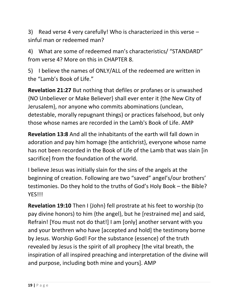3) Read verse 4 very carefully! Who is characterized in this verse – sinful man or redeemed man?

4) What are some of redeemed man's characteristics/ "STANDARD" from verse 4? More on this in CHAPTER 8.

5) I believe the names of ONLY/ALL of the redeemed are written in the "Lamb's Book of Life."

**Revelation 21:27** But nothing that defiles or profanes or is unwashed {NO Unbeliever or Make Believer} shall ever enter it {the New City of Jerusalem}, nor anyone who commits abominations (unclean, detestable, morally repugnant things) or practices falsehood, but only those whose names are recorded in the Lamb's Book of Life. AMP

**Revelation 13:8** And all the inhabitants of the earth will fall down in adoration and pay him homage {the antichrist}, everyone whose name has not been recorded in the Book of Life of the Lamb that was slain [in sacrifice] from the foundation of the world.

I believe Jesus was initially slain for the sins of the angels at the beginning of creation. Following are two "saved" angel's/our brothers' testimonies. Do they hold to the truths of God's Holy Book – the Bible? YES!!!

**Revelation 19:10** Then I {John} fell prostrate at his feet to worship (to pay divine honors) to him {the angel}, but he [restrained me] and said, Refrain! [You must not do that!] I am [only] another servant with you and your brethren who have [accepted and hold] the testimony borne by Jesus. Worship God! For the substance (essence) of the truth revealed by Jesus is the spirit of all prophecy [the vital breath, the inspiration of all inspired preaching and interpretation of the divine will and purpose, including both mine and yours]. AMP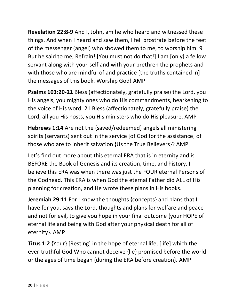**Revelation 22:8-9** And I, John, am he who heard and witnessed these things. And when I heard and saw them, I fell prostrate before the feet of the messenger (angel) who showed them to me, to worship him. 9 But he said to me, Refrain! [You must not do that!] I am [only] a fellow servant along with your-self and with your brethren the prophets and with those who are mindful of and practice [the truths contained in] the messages of this book. Worship God! AMP

**Psalms 103:20-21** Bless (affectionately, gratefully praise) the Lord, you His angels, you mighty ones who do His commandments, hearkening to the voice of His word. 21 Bless (affectionately, gratefully praise) the Lord, all you His hosts, you His ministers who do His pleasure. AMP

**Hebrews 1:14** Are not the {saved/redeemed} angels all ministering spirits (servants) sent out in the service [of God for the assistance] of those who are to inherit salvation {Us the True Believers}? AMP

Let's find out more about this eternal ERA that is in eternity and is BEFORE the Book of Genesis and its creation, time, and history. I believe this ERA was when there was just the FOUR eternal Persons of the Godhead. This ERA is when God the eternal Father did ALL of His planning for creation, and He wrote these plans in His books.

**Jeremiah 29:11** For I know the thoughts {concepts} and plans that I have for you, says the Lord, thoughts and plans for welfare and peace and not for evil, to give you hope in your final outcome {your HOPE of eternal life and being with God after your physical death for all of eternity}. AMP

**Titus 1:2** {Your} [Resting] in the hope of eternal life, [life] which the ever-truthful God Who cannot deceive {lie} promised before the world or the ages of time began {during the ERA before creation}*.* AMP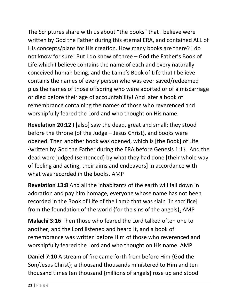The Scriptures share with us about "the books" that I believe were written by God the Father during this eternal ERA, and contained ALL of His concepts/plans for His creation. How many books are there? I do not know for sure! But I do know of three – God the Father's Book of Life which I believe contains the name of each and every naturally conceived human being, and the Lamb's Book of Life that I believe contains the names of every person who was ever saved/redeemed plus the names of those offspring who were aborted or of a miscarriage or died before their age of accountability! And later a book of remembrance containing the names of those who reverenced and worshipfully feared the Lord and who thought on His name.

**Revelation 20:12** I [also] saw the dead, great and small; they stood before the throne {of the Judge – Jesus Christ}, and books were opened. Then another book was opened, which is [the Book] of Life {written by God the Father during the ERA before Genesis 1:1}. And the dead were judged (sentenced) by what they had done [their whole way of feeling and acting, their aims and endeavors] in accordance with what was recorded in the books. AMP

**Revelation 13:8** And all the inhabitants of the earth will fall down in adoration and pay him homage, everyone whose name has not been recorded in the Book of Life of the Lamb that was slain [in sacrifice] from the foundation of the world {for the sins of the angels}**.** AMP

**Malachi 3:16** Then those who feared the Lord talked often one to another; and the Lord listened and heard it, and a book of remembrance was written before Him of those who reverenced and worshipfully feared the Lord and who thought on His name. AMP

**Daniel 7:10** A stream of fire came forth from before Him {God the Son/Jesus Christ}; a thousand thousands ministered to Him and ten thousand times ten thousand {millions of angels} rose up and stood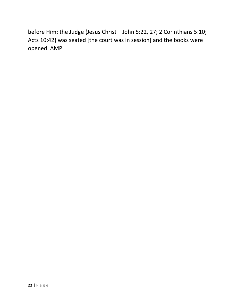before Him; the Judge {Jesus Christ – John 5:22, 27; 2 Corinthians 5:10; Acts 10:42} was seated [the court was in session] and the books were opened. AMP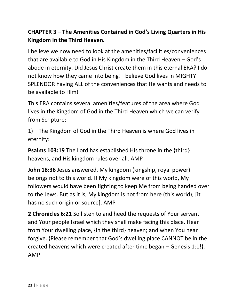### **CHAPTER 3 – The Amenities Contained in God's Living Quarters in His Kingdom in the Third Heaven.**

I believe we now need to look at the amenities/facilities/conveniences that are available to God in His Kingdom in the Third Heaven – God's abode in eternity. Did Jesus Christ create them in this eternal ERA? I do not know how they came into being! I believe God lives in MIGHTY SPLENDOR having ALL of the conveniences that He wants and needs to be available to Him!

This ERA contains several amenities/features of the area where God lives in the Kingdom of God in the Third Heaven which we can verify from Scripture:

1) The Kingdom of God in the Third Heaven is where God lives in eternity:

**Psalms 103:19** The Lord has established His throne in the {third} heavens, and His kingdom rules over all. AMP

**John 18:36** Jesus answered, My kingdom (kingship, royal power) belongs not to this world. If My kingdom were of this world, My followers would have been fighting to keep Me from being handed over to the Jews. But as it is, My kingdom is not from here (this world); [it has no such origin or source]. AMP

**2 Chronicles 6:21** So listen to and heed the requests of Your servant and Your people Israel which they shall make facing this place. Hear from Your dwelling place, {in the third} heaven; and when You hear forgive. {Please remember that God's dwelling place CANNOT be in the created heavens which were created after time began – Genesis 1:1!}. AMP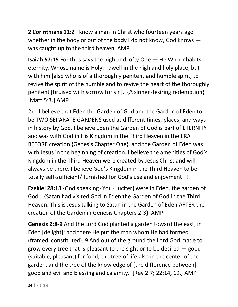**2 Corinthians 12:2** I know a man in Christ who fourteen years ago whether in the body or out of the body I do not know, God knows  $$ was caught up to the third heaven. AMP

**Isaiah 57:15** For thus says the high and lofty One — He Who inhabits eternity, Whose name is Holy: I dwell in the high and holy place, but with him [also who is of a thoroughly penitent and humble spirit, to revive the spirit of the humble and to revive the heart of the thoroughly penitent [bruised with sorrow for sin]. {A sinner desiring redemption} [Matt 5:3.] AMP

2) I believe that Eden the Garden of God and the Garden of Eden to be TWO SEPARATE GARDENS used at different times, places, and ways in history by God. I believe Eden the Garden of God is part of ETERNITY and was with God in His Kingdom in the Third Heaven in the ERA BEFORE creation {Genesis Chapter One}, and the Garden of Eden was with Jesus in the beginning of creation. I believe the amenities of God's Kingdom in the Third Heaven were created by Jesus Christ and will always be there. I believe God's Kingdom in the Third Heaven to be totally self-sufficient/ furnished for God's use and enjoyment!!!

**Ezekiel 28:13** {God speaking} You {Lucifer} were in Eden, the garden of God… {Satan had visited God in Eden the Garden of God in the Third Heaven. This is Jesus talking to Satan in the Garden of Eden AFTER the creation of the Garden in Genesis Chapters 2-3}. AMP

**Genesis 2:8-9** And the Lord God planted a garden toward the east, in Eden [delight]; and there He put the man whom He had formed (framed, constituted). 9 And out of the ground the Lord God made to grow every tree that is pleasant to the sight or to be desired — good (suitable, pleasant) for food; the tree of life also in the center of the garden, and the tree of the knowledge of [the difference between] good and evil and blessing and calamity. [Rev 2:7; 22:14, 19.] AMP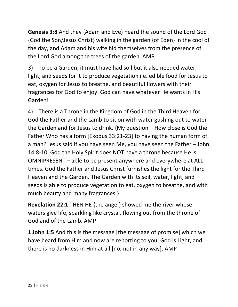**Genesis 3:8** And they {Adam and Eve} heard the sound of the Lord God {God the Son/Jesus Christ} walking in the garden {of Eden} in the cool of the day, and Adam and his wife hid themselves from the presence of the Lord God among the trees of the garden. AMP

3) To be a Garden, it must have had soil but it also needed water, light, and seeds for it to produce vegetation i.e. edible food for Jesus to eat, oxygen for Jesus to breathe, and beautiful flowers with their fragrances for God to enjoy. God can have whatever He wants in His Garden!

4) There is a Throne in the Kingdom of God in the Third Heaven for God the Father and the Lamb to sit on with water gushing out to water the Garden and for Jesus to drink. {My question – How close is God the Father Who has a form [Exodus 33:21-23] to having the human form of a man? Jesus said if you have seen Me, you have seen the Father – John 14:8-10. God the Holy Spirit does NOT have a throne because He is OMNIPRESENT – able to be present anywhere and everywhere at ALL times. God the Father and Jesus Christ furnishes the light for the Third Heaven and the Garden. The Garden with its soil, water, light, and seeds is able to produce vegetation to eat, oxygen to breathe, and with much beauty and many fragrances.}

**Revelation 22:1** THEN HE {the angel} showed me the river whose waters give life, sparkling like crystal, flowing out from the throne of God and of the Lamb. AMP

**1 John 1:5** And this is the message [the message of promise] which we have heard from Him and now are reporting to you: God is Light, and there is no darkness in Him at all [no, not in any way]. AMP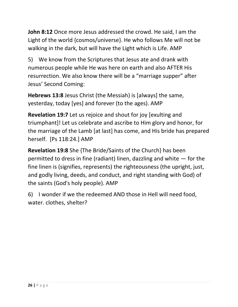**John 8:12** Once more Jesus addressed the crowd. He said, I am the Light of the world {cosmos/universe}. He who follows Me will not be walking in the dark, but will have the Light which is Life. AMP

5) We know from the Scriptures that Jesus ate and drank with numerous people while He was here on earth and also AFTER His resurrection. We also know there will be a "marriage supper" after Jesus' Second Coming:

**Hebrews 13:8** Jesus Christ (the Messiah) is [always] the same, yesterday, today [yes] and forever (to the ages). AMP

**Revelation 19:7** Let us rejoice and shout for joy [exulting and triumphant]! Let us celebrate and ascribe to Him glory and honor, for the marriage of the Lamb [at last] has come, and His bride has prepared herself. [Ps 118:24.] AMP

**Revelation 19:8** She {The Bride/Saints of the Church} has been permitted to dress in fine (radiant) linen, dazzling and white — for the fine linen is (signifies, represents) the righteousness (the upright, just, and godly living, deeds, and conduct, and right standing with God) of the saints (God's holy people). AMP

6) I wonder if we the redeemed AND those in Hell will need food, water. clothes, shelter?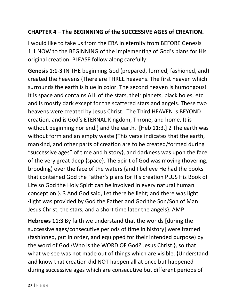### **CHAPTER 4 – The BEGINNING of the SUCCESSIVE AGES of CREATION.**

I would like to take us from the ERA in eternity from BEFORE Genesis 1:1 NOW to the BEGINNING of the implementing of God's plans for His original creation. PLEASE follow along carefully:

**Genesis 1:1-3** IN THE beginning God (prepared, formed, fashioned, and) created the heavens {There are THREE heavens. The first heaven which surrounds the earth is blue in color. The second heaven is humongous! It is space and contains ALL of the stars, their planets, black holes, etc. and is mostly dark except for the scattered stars and angels. These two heavens were created by Jesus Christ. The Third HEAVEN is BEYOND creation, and is God's ETERNAL Kingdom, Throne, and home. It is without beginning nor end.} and the earth. [Heb 11:3.] 2 The earth was without form and an empty waste {This verse indicates that the earth, mankind, and other parts of creation are to be created/formed during "successive ages" of time and history}, and darkness was upon the face of the very great deep {space}. The Spirit of God was moving (hovering, brooding) over the face of the waters {and I believe He had the books that contained God the Father's plans for His creation PLUS His Book of Life so God the Holy Spirit can be involved in every natural human conception.}. 3 And God said, Let there be light; and there was light {light was provided by God the Father and God the Son/Son of Man Jesus Christ, the stars, and a short time later the angels}. AMP

**Hebrews 11:3** By faith we understand that the worlds [during the successive ages/consecutive periods of time in history] were framed (fashioned, put in order, and equipped for their intended purpose) by the word of God {Who is the WORD OF God? Jesus Christ.}, so that what we see was not made out of things which are visible. {Understand and know that creation did NOT happen all at once but happened during successive ages which are consecutive but different periods of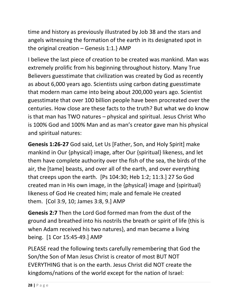time and history as previously illustrated by Job 38 and the stars and angels witnessing the formation of the earth in its designated spot in the original creation – Genesis 1:1.} AMP

I believe the last piece of creation to be created was mankind. Man was extremely prolific from his beginning throughout history. Many True Believers guesstimate that civilization was created by God as recently as about 6,000 years ago. Scientists using carbon dating guesstimate that modern man came into being about 200,000 years ago. Scientist guesstimate that over 100 billion people have been procreated over the centuries. How close are these facts to the truth? But what we do know is that man has TWO natures – physical and spiritual. Jesus Christ Who is 100% God and 100% Man and as man's creator gave man his physical and spiritual natures:

**Genesis 1:26-27** God said, Let Us [Father, Son, and Holy Spirit] make mankind in Our {physical} image, after Our {spiritual} likeness, and let them have complete authority over the fish of the sea, the birds of the air, the [tame] beasts, and over all of the earth, and over everything that creeps upon the earth. [Ps 104:30; Heb 1:2; 11:3.] 27 So God created man in His own image, in the {physical} image and {spiritual} likeness of God He created him; male and female He created them. [Col 3:9, 10; James 3:8, 9.] AMP

**Genesis 2:7** Then the Lord God formed man from the dust of the ground and breathed into his nostrils the breath or spirit of life {this is when Adam received his two natures}, and man became a living being. [1 Cor 15:45-49.] AMP

PLEASE read the following texts carefully remembering that God the Son/the Son of Man Jesus Christ is creator of most BUT NOT EVERYTHING that is on the earth. Jesus Christ did NOT create the kingdoms/nations of the world except for the nation of Israel: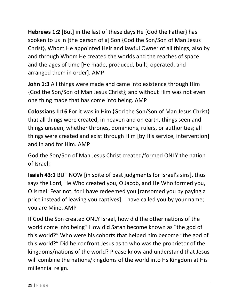**Hebrews 1:2** [But] in the last of these days He {God the Father} has spoken to us in [the person of a] Son {God the Son/Son of Man Jesus Christ}, Whom He appointed Heir and lawful Owner of all things, also by and through Whom He created the worlds and the reaches of space and the ages of time [He made, produced, built, operated, and arranged them in order]. AMP

**John 1:3** All things were made and came into existence through Him {God the Son/Son of Man Jesus Christ}; and without Him was not even one thing made that has come into being. AMP

**Colossians 1:16** For it was in Him {God the Son/Son of Man Jesus Christ} that all things were created, in heaven and on earth, things seen and things unseen, whether thrones, dominions, rulers, or authorities; all things were created and exist through Him [by His service, intervention] and in and for Him. AMP

God the Son/Son of Man Jesus Christ created/formed ONLY the nation of Israel:

**Isaiah 43:1** BUT NOW [in spite of past judgments for Israel's sins], thus says the Lord, He Who created you, O Jacob, and He Who formed you, O Israel: Fear not, for I have redeemed you [ransomed you by paying a price instead of leaving you captives]; I have called you by your name; you are Mine. AMP

If God the Son created ONLY Israel, how did the other nations of the world come into being? How did Satan become known as "the god of this world?" Who were his cohorts that helped him become "the god of this world?" Did he confront Jesus as to who was the proprietor of the kingdoms/nations of the world? Please know and understand that Jesus will combine the nations/kingdoms of the world into Hs Kingdom at His millennial reign.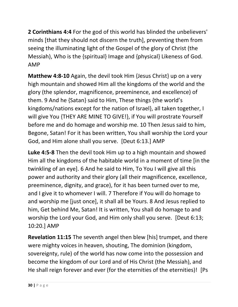**2 Corinthians 4:4** For the god of this world has blinded the unbelievers' minds [that they should not discern the truth], preventing them from seeing the illuminating light of the Gospel of the glory of Christ (the Messiah), Who is the {spiritual} Image and {physical} Likeness of God. AMP

**Matthew 4:8-10** Again, the devil took Him {Jesus Christ} up on a very high mountain and showed Him all the kingdoms of the world and the glory (the splendor, magnificence, preeminence, and excellence) of them. 9 And he {Satan} said to Him, These things {the world's kingdoms/nations except for the nation of Israel}, all taken together, I will give You {THEY ARE MINE TO GIVE!}, if You will prostrate Yourself before me and do homage and worship me. 10 Then Jesus said to him, Begone, Satan! For it has been written, You shall worship the Lord your God, and Him alone shall you serve. [Deut 6:13.] AMP

**Luke 4:5-8** Then the devil took Him up to a high mountain and showed Him all the kingdoms of the habitable world in a moment of time [in the twinkling of an eye]. 6 And he said to Him, To You I will give all this power and authority and their glory (all their magnificence, excellence, preeminence, dignity, and grace), for it has been turned over to me, and I give it to whomever I will. 7 Therefore if You will do homage to and worship me [just once], it shall all be Yours. 8 And Jesus replied to him, Get behind Me, Satan! It is written, You shall do homage to and worship the Lord your God, and Him only shall you serve. [Deut 6:13; 10:20.] AMP

**Revelation 11:15** The seventh angel then blew [his] trumpet, and there were mighty voices in heaven, shouting, The dominion (kingdom, sovereignty, rule) of the world has now come into the possession and become the kingdom of our Lord and of His Christ (the Messiah), and He shall reign forever and ever (for the eternities of the eternities)! [Ps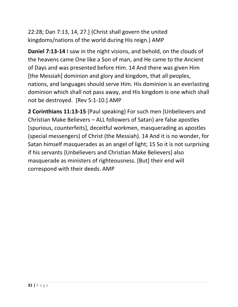22:28; Dan 7:13, 14, 27.] {Christ shall govern the united kingdoms/nations of the world during His reign.} AMP

**Daniel 7:13-14** I saw in the night visions, and behold, on the clouds of the heavens came One like a Son of man, and He came to the Ancient of Days and was presented before Him. 14 And there was given Him [the Messiah] dominion and glory and kingdom, that all peoples, nations, and languages should serve Him. His dominion is an everlasting dominion which shall not pass away, and His kingdom is one which shall not be destroyed. [Rev 5:1-10.] AMP

**2 Corinthians 11:13-15** {Paul speaking} For such men {Unbelievers and Christian Make Believers – ALL followers of Satan} are false apostles [spurious, counterfeits], deceitful workmen, masquerading as apostles (special messengers) of Christ (the Messiah). 14 And it is no wonder, for Satan himself masquerades as an angel of light; 15 So it is not surprising if his servants {Unbelievers and Christian Make Believers} also masquerade as ministers of righteousness. [But] their end will correspond with their deeds. AMP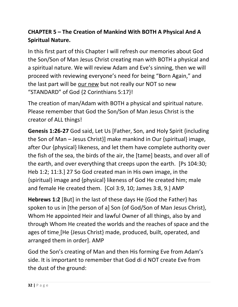### **CHAPTER 5 – The Creation of Mankind With BOTH A Physical And A Spiritual Nature.**

In this first part of this Chapter I will refresh our memories about God the Son/Son of Man Jesus Christ creating man with BOTH a physical and a spiritual nature. We will review Adam and Eve's sinning, then we will proceed with reviewing everyone's need for being "Born Again," and the last part will be our new but not really our NOT so new "STANDARD" of God {2 Corinthians 5:17}!

The creation of man/Adam with BOTH a physical and spiritual nature. Please remember that God the Son/Son of Man Jesus Christ is the creator of ALL things!

**Genesis 1:26-27** God said, Let Us [Father, Son, and Holy Spirit {including the Son of Man – Jesus Christ}] make mankind in Our {spiritual} image, after Our {physical} likeness, and let them have complete authority over the fish of the sea, the birds of the air, the [tame] beasts, and over all of the earth, and over everything that creeps upon the earth. [Ps 104:30; Heb 1:2; 11:3.] 27 So God created man in His own image, in the {spiritual} image and {physical} likeness of God He created him; male and female He created them. [Col 3:9, 10; James 3:8, 9.] AMP

**Hebrews 1:2** [But] in the last of these days He {God the Father} has spoken to us in [the person of a] Son {of God/Son of Man Jesus Christ}, Whom He appointed Heir and lawful Owner of all things, also by and through Whom He created the worlds and the reaches of space and the ages of time [He {Jesus Christ} made, produced, built, operated, and arranged them in order]. AMP

God the Son's creating of Man and then His forming Eve from Adam's side. It is important to remember that God di d NOT create Eve from the dust of the ground: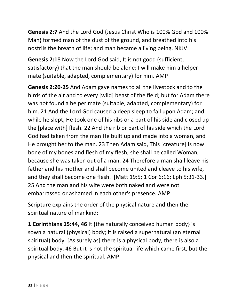**Genesis 2:7** And the Lord God {Jesus Christ Who is 100% God and 100% Man} formed man of the dust of the ground, and breathed into his nostrils the breath of life; and man became a living being. NKJV

**Genesis 2:1**8 Now the Lord God said, It is not good (sufficient, satisfactory) that the man should be alone; I will make him a helper mate (suitable, adapted, complementary) for him. AMP

**Genesis 2:20-25** And Adam gave names to all the livestock and to the birds of the air and to every [wild] beast of the field; but for Adam there was not found a helper mate (suitable, adapted, complementary) for him. 21 And the Lord God caused a deep sleep to fall upon Adam; and while he slept, He took one of his ribs or a part of his side and closed up the [place with] flesh. 22 And the rib or part of his side which the Lord God had taken from the man He built up and made into a woman, and He brought her to the man. 23 Then Adam said, This [creature] is now bone of my bones and flesh of my flesh; she shall be called Woman, because she was taken out of a man. 24 Therefore a man shall leave his father and his mother and shall become united and cleave to his wife, and they shall become one flesh. [Matt 19:5; 1 Cor 6:16; Eph 5:31-33.] 25 And the man and his wife were both naked and were not embarrassed or ashamed in each other's presence. AMP

Scripture explains the order of the physical nature and then the spiritual nature of mankind:

**1 Corinthians 15:44, 46** It {the naturally conceived human body} is sown a natural (physical) body; it is raised a supernatural (an eternal spiritual) body. [As surely as] there is a physical body, there is also a spiritual body. 46 But it is not the spiritual life which came first, but the physical and then the spiritual. AMP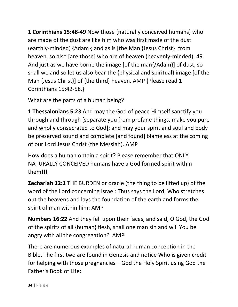**1 Corinthians 15:48-49** Now those {naturally conceived humans} who are made of the dust are like him who was first made of the dust (earthly-minded) {Adam}; and as is [the Man {Jesus Christ}] from heaven, so also [are those] who are of heaven (heavenly-minded). 49 And just as we have borne the image [of the man{/Adam}] of dust, so shall we and so let us also bear the {physical and spiritual} image [of the Man {Jesus Christ}] of {the third} heaven. AMP {Please read 1 Corinthians 15:42-58.}

What are the parts of a human being?

**1 Thessalonians 5:23** And may the God of peace Himself sanctify you through and through [separate you from profane things, make you pure and wholly consecrated to God]; and may your spirit and soul and body be preserved sound and complete [and found] blameless at the coming of our Lord Jesus Christ (the Messiah). AMP

How does a human obtain a spirit? Please remember that ONLY NATURALLY CONCEIVED humans have a God formed spirit within them!!!

**Zechariah 12:1** THE BURDEN or oracle (the thing to be lifted up) of the word of the Lord concerning Israel: Thus says the Lord, Who stretches out the heavens and lays the foundation of the earth and forms the spirit of man within him: AMP

**Numbers 16:22** And they fell upon their faces, and said, O God, the God of the spirits of all {human} flesh, shall one man sin and will You be angry with all the congregation? AMP

There are numerous examples of natural human conception in the Bible. The first two are found in Genesis and notice Who is given credit for helping with those pregnancies – God the Holy Spirit using God the Father's Book of Life: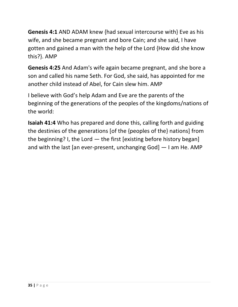**Genesis 4:1** AND ADAM knew {had sexual intercourse with} Eve as his wife, and she became pregnant and bore Cain; and she said, I have gotten and gained a man with the help of the Lord {How did she know this?}. AMP

**Genesis 4:25** And Adam's wife again became pregnant, and she bore a son and called his name Seth. For God, she said, has appointed for me another child instead of Abel, for Cain slew him. AMP

I believe with God's help Adam and Eve are the parents of the beginning of the generations of the peoples of the kingdoms/nations of the world:

**Isaiah 41:4** Who has prepared and done this, calling forth and guiding the destinies of the generations [of the {peoples of the} nations] from the beginning? I, the Lord — the first [existing before history began] and with the last [an ever-present, unchanging God] — I am He. AMP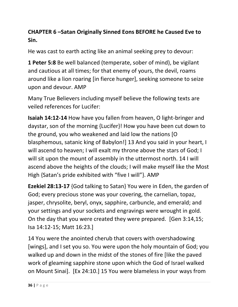### **CHAPTER 6 –Satan Originally Sinned Eons BEFORE he Caused Eve to Sin.**

He was cast to earth acting like an animal seeking prey to devour:

**1 Peter 5:8** Be well balanced (temperate, sober of mind), be vigilant and cautious at all times; for that enemy of yours, the devil, roams around like a lion roaring [in fierce hunger], seeking someone to seize upon and devour. AMP

Many True Believers including myself believe the following texts are veiled references for Lucifer:

**Isaiah 14:12-14** How have you fallen from heaven, O light-bringer and daystar, son of the morning {Lucifer}! How you have been cut down to the ground, you who weakened and laid low the nations [O blasphemous, satanic king of Babylon!] 13 And you said in your heart, I will ascend to heaven; I will exalt my throne above the stars of God; I will sit upon the mount of assembly in the uttermost north. 14 I will ascend above the heights of the clouds; I will make myself like the Most High {Satan's pride exhibited with "five I will"}. AMP

**Ezekiel 28:13-17** {God talking to Satan} You were in Eden, the garden of God; every precious stone was your covering, the carnelian, topaz, jasper, chrysolite, beryl, onyx, sapphire, carbuncle, and emerald; and your settings and your sockets and engravings were wrought in gold. On the day that you were created they were prepared. [Gen 3:14,15; Isa 14:12-15; Matt 16:23.]

14 You were the anointed cherub that covers with overshadowing [wings], and I set you so. You were upon the holy mountain of God; you walked up and down in the midst of the stones of fire [like the paved work of gleaming sapphire stone upon which the God of Israel walked on Mount Sinai]. [Ex 24:10.] 15 You were blameless in your ways from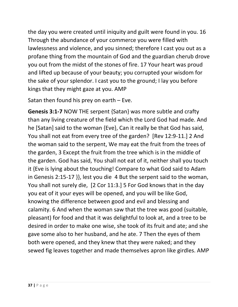the day you were created until iniquity and guilt were found in you. 16 Through the abundance of your commerce you were filled with lawlessness and violence, and you sinned; therefore I cast you out as a profane thing from the mountain of God and the guardian cherub drove you out from the midst of the stones of fire. 17 Your heart was proud and lifted up because of your beauty; you corrupted your wisdom for the sake of your splendor. I cast you to the ground; I lay you before kings that they might gaze at you. AMP

Satan then found his prey on earth – Eve.

**Genesis 3:1-7** NOW THE serpent {Satan} was more subtle and crafty than any living creature of the field which the Lord God had made. And he [Satan] said to the woman {Eve}, Can it really be that God has said, You shall not eat from every tree of the garden? [Rev 12:9-11.] 2 And the woman said to the serpent, We may eat the fruit from the trees of the garden, 3 Except the fruit from the tree which is in the middle of the garden. God has said, You shall not eat of it, neither shall you touch it {Eve is lying about the touching! Compare to what God said to Adam in Genesis 2:15-17 }}, lest you die 4 But the serpent said to the woman, You shall not surely die, [2 Cor 11:3.] 5 For God knows that in the day you eat of it your eyes will be opened, and you will be like God, knowing the difference between good and evil and blessing and calamity. 6 And when the woman saw that the tree was good (suitable, pleasant) for food and that it was delightful to look at, and a tree to be desired in order to make one wise, she took of its fruit and ate; and she gave some also to her husband, and he ate. 7 Then the eyes of them both were opened, and they knew that they were naked; and they sewed fig leaves together and made themselves apron like girdles. AMP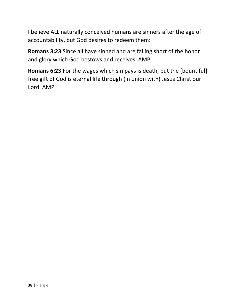I believe ALL naturally conceived humans are sinners after the age of accountability, but God desires to redeem them:

**Romans 3:23** Since all have sinned and are falling short of the honor and glory which God bestows and receives. AMP

**Romans 6:23** For the wages which sin pays is death, but the [bountiful] free gift of God is eternal life through (in union with) Jesus Christ our Lord. AMP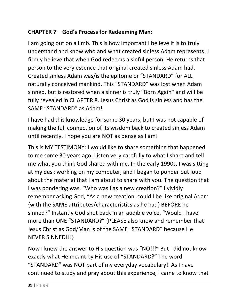#### **CHAPTER 7 – God's Process for Redeeming Man:**

I am going out on a limb. This is how important I believe it is to truly understand and know who and what created sinless Adam represents! I firmly believe that when God redeems a sinful person, He returns that person to the very essence that original created sinless Adam had. Created sinless Adam was/is the epitome or "STANDARD" for ALL naturally conceived mankind. This "STANDARD" was lost when Adam sinned, but is restored when a sinner is truly "Born Again" and will be fully revealed in CHAPTER 8. Jesus Christ as God is sinless and has the SAME "STANDARD" as Adam!

I have had this knowledge for some 30 years, but I was not capable of making the full connection of its wisdom back to created sinless Adam until recently. I hope you are NOT as dense as I am!

This is MY TESTIMONY: I would like to share something that happened to me some 30 years ago. Listen very carefully to what I share and tell me what you think God shared with me. In the early 1990s, I was sitting at my desk working on my computer, and I began to ponder out loud about the material that I am about to share with you. The question that I was pondering was, "Who was I as a new creation?" I vividly remember asking God, "As a new creation, could I be like original Adam {with the SAME attributes/characteristics as he had} BEFORE he sinned?" Instantly God shot back in an audible voice, "Would I have more than ONE "STANDARD?" {PLEASE also know and remember that Jesus Christ as God/Man is of the SAME "STANDARD" because He NEVER SINNED!!!}

Now I knew the answer to His question was "NO!!!" But I did not know exactly what He meant by His use of "STANDARD?" The word "STANDARD" was NOT part of my everyday vocabulary! As I have continued to study and pray about this experience, I came to know that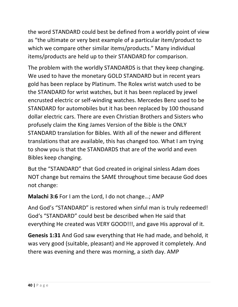the word STANDARD could best be defined from a worldly point of view as "the ultimate or very best example of a particular item/product to which we compare other similar items/products." Many individual items/products are held up to their STANDARD for comparison.

The problem with the worldly STANDARDS is that they keep changing. We used to have the monetary GOLD STANDARD but in recent years gold has been replace by Platinum. The Rolex wrist watch used to be the STANDARD for wrist watches, but it has been replaced by jewel encrusted electric or self-winding watches. Mercedes Benz used to be STANDARD for automobiles but it has been replaced by 100 thousand dollar electric cars. There are even Christian Brothers and Sisters who profusely claim the King James Version of the Bible is the ONLY STANDARD translation for Bibles. With all of the newer and different translations that are available, this has changed too. What I am trying to show you is that the STANDARDS that are of the world and even Bibles keep changing.

But the "STANDARD" that God created in original sinless Adam does NOT change but remains the SAME throughout time because God does not change:

**Malachi 3:6** For I am the Lord, I do not change…; AMP

And God's "STANDARD" is restored when sinful man is truly redeemed! God's "STANDARD" could best be described when He said that everything He created was VERY GOOD!!!, and gave His approval of it.

**Genesis 1:31** And God saw everything that He had made, and behold, it was very good (suitable, pleasant) and He approved it completely. And there was evening and there was morning, a sixth day. AMP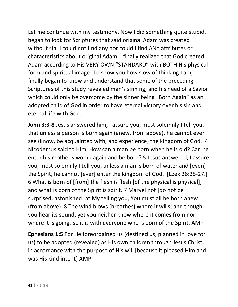Let me continue with my testimony. Now I did something quite stupid, I began to look for Scriptures that said original Adam was created without sin. I could not find any nor could I find ANY attributes or characteristics about original Adam. I finally realized that God created Adam according to His VERY OWN "STANDARD" with BOTH His physical form and spiritual image! To show you how slow of thinking I am, I finally began to know and understand that some of the preceding Scriptures of this study revealed man's sinning, and his need of a Savior which could only be overcome by the sinner being "Born Again" as an adopted child of God in order to have eternal victory over his sin and eternal life with God:

**John 3:3-8** Jesus answered him, I assure you, most solemnly I tell you, that unless a person is born again (anew, from above), he cannot ever see (know, be acquainted with, and experience) the kingdom of God. 4 Nicodemus said to Him, How can a man be born when he is old? Can he enter his mother's womb again and be born? 5 Jesus answered, I assure you, most solemnly I tell you, unless a man is born of water and [even] the Spirit, he cannot [ever] enter the kingdom of God. [Ezek 36:25-27.] 6 What is born of [from] the flesh is flesh [of the physical is physical]; and what is born of the Spirit is spirit. 7 Marvel not [do not be surprised, astonished] at My telling you, You must all be born anew (from above). 8 The wind blows (breathes) where it wills; and though you hear its sound, yet you neither know where it comes from nor where it is going. So it is with everyone who is born of the Spirit. AMP

**Ephesians 1:5** For He foreordained us (destined us, planned in love for us) to be adopted (revealed) as His own children through Jesus Christ, in accordance with the purpose of His will [because it pleased Him and was His kind intent] AMP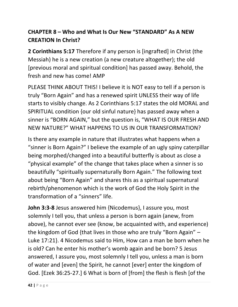### **CHAPTER 8 – Who and What Is Our New "STANDARD" As A NEW CREATION In Christ?**

**2 Corinthians 5:17** Therefore if any person is [ingrafted] in Christ (the Messiah) he is a new creation (a new creature altogether); the old [previous moral and spiritual condition] has passed away. Behold, the fresh and new has come! AMP

PLEASE THINK ABOUT THIS! I believe it is NOT easy to tell if a person is truly "Born Again" and has a renewed spirit UNLESS their way of life starts to visibly change. As 2 Corinthians 5:17 states the old MORAL and SPIRITUAL condition {our old sinful nature} has passed away when a sinner is "BORN AGAIN," but the question is, "WHAT IS OUR FRESH AND NEW NATURE?" WHAT HAPPENS TO US IN OUR TRANSFORMATION?

Is there any example in nature that illustrates what happens when a "sinner is Born Again?" I believe the example of an ugly spiny caterpillar being morphed/changed into a beautiful butterfly is about as close a "physical example" of the change that takes place when a sinner is so beautifully "spiritually supernaturally Born Again." The following text about being "Born Again" and shares this as a spiritual supernatural rebirth/phenomenon which is the work of God the Holy Spirit in the transformation of a "sinners" life.

**John 3:3-8** Jesus answered him {Nicodemus}, I assure you, most solemnly I tell you, that unless a person is born again (anew, from above), he cannot ever see (know, be acquainted with, and experience) the kingdom of God {that lives in those who are truly "Born Again" – Luke 17:21}. 4 Nicodemus said to Him, How can a man be born when he is old? Can he enter his mother's womb again and be born? 5 Jesus answered, I assure you, most solemnly I tell you, unless a man is born of water and [even] the Spirit, he cannot [ever] enter the kingdom of God. [Ezek 36:25-27.] 6 What is born of [from] the flesh is flesh [of the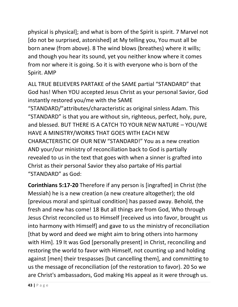physical is physical]; and what is born of the Spirit is spirit. 7 Marvel not [do not be surprised, astonished] at My telling you, You must all be born anew (from above). 8 The wind blows (breathes) where it wills; and though you hear its sound, yet you neither know where it comes from nor where it is going. So it is with everyone who is born of the Spirit. AMP

ALL TRUE BELIEVERS PARTAKE of the SAME partial "STANDARD" that God has! When YOU accepted Jesus Christ as your personal Savior, God instantly restored you/me with the SAME

"STANDARD/"attributes/characteristic as original sinless Adam. This "STANDARD" is that you are without sin, righteous, perfect, holy, pure, and blessed. BUT THERE IS A CATCH TO YOUR NEW NATURE – YOU/WE HAVE A MINISTRY/WORKS THAT GOES WITH EACH NEW CHARACTERISTIC OF OUR NEW "STANDARD!" You as a new creation AND your/our ministry of reconciliation back to God is partially revealed to us in the text that goes with when a sinner is grafted into Christ as their personal Savior they also partake of His partial "STANDARD" as God:

**Corinthians 5:17-20** Therefore if any person is [ingrafted] in Christ (the Messiah) he is a new creation (a new creature altogether); the old [previous moral and spiritual condition] has passed away. Behold, the fresh and new has come! 18 But all things are from God, Who through Jesus Christ reconciled us to Himself [received us into favor, brought us into harmony with Himself] and gave to us the ministry of reconciliation [that by word and deed we might aim to bring others into harmony with Him]. 19 It was God [personally present] in Christ, reconciling and restoring the world to favor with Himself, not counting up and holding against [men] their trespasses [but cancelling them], and committing to us the message of reconciliation (of the restoration to favor). 20 So we are Christ's ambassadors, God making His appeal as it were through us.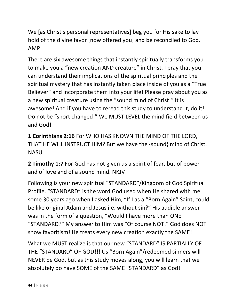We [as Christ's personal representatives] beg you for His sake to lay hold of the divine favor [now offered you] and be reconciled to God. AMP

There are six awesome things that instantly spiritually transforms you to make you a "new creation AND creature" in Christ. I pray that you can understand their implications of the spiritual principles and the spiritual mystery that has instantly taken place inside of you as a "True Believer" and incorporate them into your life! Please pray about you as a new spiritual creature using the "sound mind of Christ!" It is awesome! And if you have to reread this study to understand it, do it! Do not be "short changed!" We MUST LEVEL the mind field between us and God!

**1 Corinthians 2:16** For WHO HAS KNOWN THE MIND OF THE LORD, THAT HE WILL INSTRUCT HIM? But we have the {sound} mind of Christ. NASU

**2 Timothy 1:7** For God has not given us a spirit of fear, but of power and of love and of a sound mind. NKJV

Following is your new spiritual "STANDARD"/Kingdom of God Spiritual Profile. "STANDARD" is the word God used when He shared with me some 30 years ago when I asked Him, "If I as a "Born Again" Saint, could be like original Adam and Jesus i.e. without sin?" His audible answer was in the form of a question, "Would I have more than ONE "STANDARD?" My answer to Him was "Of course NOT!" God does NOT show favoritism! He treats every new creation exactly the SAME!

What we MUST realize is that our new "STANDARD" IS PARTIALLY OF THE "STANDARD" OF GOD!!! Us "Born Again"/redeemed sinners will NEVER be God, but as this study moves along, you will learn that we absolutely do have SOME of the SAME "STANDARD" as God!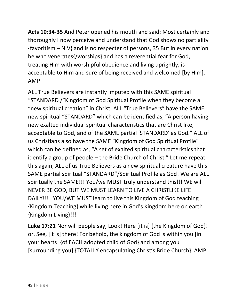**Acts 10:34-35** And Peter opened his mouth and said: Most certainly and thoroughly I now perceive and understand that God shows no partiality {favoritism – NIV} and is no respecter of persons, 35 But in every nation he who venerates{/worships} and has a reverential fear for God, treating Him with worshipful obedience and living uprightly, is acceptable to Him and sure of being received and welcomed [by Him]. AMP

ALL True Believers are instantly imputed with this SAME spiritual "STANDARD /"Kingdom of God Spiritual Profile when they become a "new spiritual creation" in Christ. ALL "True Believers" have the SAME new spiritual "STANDARD" which can be identified as, "A person having new exalted individual spiritual characteristics that are Christ like, acceptable to God, and of the SAME partial 'STANDARD' as God." ALL of us Christians also have the SAME "Kingdom of God Spiritual Profile" which can be defined as, "A set of exalted spiritual characteristics that identify a group of people – the Bride Church of Christ." Let me repeat this again, ALL of us True Believers as a new spiritual creature have this SAME partial spiritual "STANDARD"/Spiritual Profile as God! We are ALL spiritually the SAME!!! You/we MUST truly understand this!!! WE will NEVER BE GOD, BUT WE MUST LEARN TO LIVE A CHRISTLIKE LIFE DAILY!!! YOU/WE MUST learn to live this Kingdom of God teaching {Kingdom Teaching} while living here in God's Kingdom here on earth {Kingdom Living}!!!

Luke 17:21 Nor will people say, Look! Here [it is] {the Kingdom of God}! or, See, [it is] there! For behold, the kingdom of God is within you [in your hearts] {of EACH adopted child of God} and among you [surrounding you] {TOTALLY encapsulating Christ's Bride Church}. AMP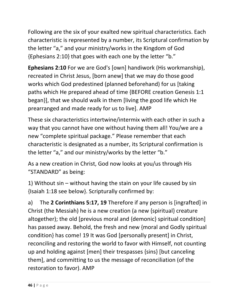Following are the six of your exalted new spiritual characteristics. Each characteristic is represented by a number, its Scriptural confirmation by the letter "a," and your ministry/works in the Kingdom of God {Ephesians 2:10} that goes with each one by the letter "b."

**Ephesians 2:10** For we are God's [own] handiwork (His workmanship), recreated in Christ Jesus, [born anew] that we may do those good works which God predestined (planned beforehand) for us [taking paths which He prepared ahead of time {BEFORE creation Genesis 1:1 began}], that we should walk in them [living the good life which He prearranged and made ready for us to live]. AMP

These six characteristics intertwine/intermix with each other in such a way that you cannot have one without having them all! You/we are a new "complete spiritual package." Please remember that each characteristic is designated as a number, its Scriptural confirmation is the letter "a," and our ministry/works by the letter "b."

As a new creation in Christ, God now looks at you/us through His "STANDARD" as being:

1) Without sin – without having the stain on your life caused by sin {Isaiah 1:18 see below}. Scripturally confirmed by:

a) The **2 Corinthians 5:17, 19** Therefore if any person is [ingrafted] in Christ (the Messiah) he is a new creation (a new {spiritual} creature altogether); the old [previous moral and {demonic} spiritual condition] has passed away. Behold, the fresh and new {moral and Godly spiritual condition} has come! 19 It was God [personally present] in Christ, reconciling and restoring the world to favor with Himself, not counting up and holding against [men] their trespasses {sins} [but canceling them], and committing to us the message of reconciliation (of the restoration to favor). AMP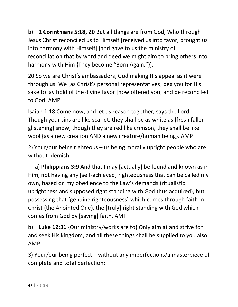b) **2 Corinthians 5:18, 20** But all things are from God, Who through Jesus Christ reconciled us to Himself [received us into favor, brought us into harmony with Himself] [and gave to us the ministry of reconciliation that by word and deed we might aim to bring others into harmony with Him {They become "Born Again."}].

20 So we are Christ's ambassadors, God making His appeal as it were through us. We [as Christ's personal representatives] beg you for His sake to lay hold of the divine favor [now offered you] and be reconciled to God. AMP

Isaiah 1:18 Come now, and let us reason together, says the Lord. Though your sins are like scarlet, they shall be as white as {fresh fallen glistening} snow; though they are red like crimson, they shall be like wool {as a new creation AND a new creature/human being}. AMP

2) Your/our being righteous – us being morally upright people who are without blemish:

 a) **Philippians 3:9** And that I may [actually] be found and known as in Him, not having any [self-achieved] righteousness that can be called my own, based on my obedience to the Law's demands (ritualistic uprightness and supposed right standing with God thus acquired), but possessing that [genuine righteousness] which comes through faith in Christ (the Anointed One), the [truly] right standing with God which comes from God by [saving] faith. AMP

b) **Luke 12:31** {Our ministry/works are to} Only aim at and strive for and seek His kingdom, and all these things shall be supplied to you also. AMP

3) Your/our being perfect – without any imperfections/a masterpiece of complete and total perfection: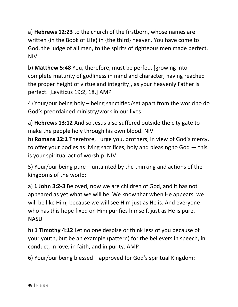a) **Hebrews 12:23** to the church of the firstborn, whose names are written {in the Book of Life} in {the third} heaven. You have come to God, the judge of all men, to the spirits of righteous men made perfect. NIV

b) **Matthew 5:48** You, therefore, must be perfect [growing into complete maturity of godliness in mind and character, having reached the proper height of virtue and integrity], as your heavenly Father is perfect. [Leviticus 19:2, 18.] AMP

4) Your/our being holy – being sanctified/set apart from the world to do God's preordained ministry/work in our lives:

a) **Hebrews 13:12** And so Jesus also suffered outside the city gate to make the people holy through his own blood. NIV

b) **Romans 12:1** Therefore, I urge you, brothers, in view of God's mercy, to offer your bodies as living sacrifices, holy and pleasing to God — this is your spiritual act of worship. NIV

5) Your/our being pure – untainted by the thinking and actions of the kingdoms of the world:

a) **1 John 3:2-3** Beloved, now we are children of God, and it has not appeared as yet what we will be. We know that when He appears, we will be like Him, because we will see Him just as He is. And everyone who has this hope fixed on Him purifies himself, just as He is pure. NASU

b) **1 Timothy 4:12** Let no one despise or think less of you because of your youth, but be an example (pattern) for the believers in speech, in conduct, in love, in faith, and in purity. AMP

6) Your/our being blessed – approved for God's spiritual Kingdom: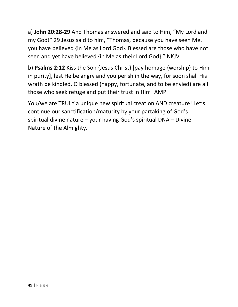a) **John 20:28-29** And Thomas answered and said to Him, "My Lord and my God!" 29 Jesus said to him, "Thomas, because you have seen Me, you have believed {in Me as Lord God}. Blessed are those who have not seen and yet have believed {in Me as their Lord God}." NKJV

b) **Psalms 2:12** Kiss the Son {Jesus Christ} [pay homage {worship} to Him in purity], lest He be angry and you perish in the way, for soon shall His wrath be kindled. O blessed (happy, fortunate, and to be envied) are all those who seek refuge and put their trust in Him! AMP

You/we are TRULY a unique new spiritual creation AND creature! Let's continue our sanctification/maturity by your partaking of God's spiritual divine nature – your having God's spiritual DNA – Divine Nature of the Almighty.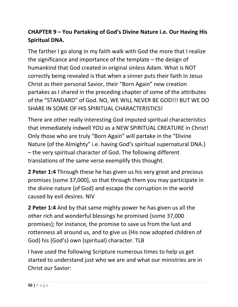# **CHAPTER 9 – You Partaking of God's Divine Nature i.e. Our Having His Spiritual DNA.**

The farther I go along in my faith walk with God the more that I realize the significance and importance of the template – the design of humankind that God created in original sinless Adam. What is NOT correctly being revealed is that when a sinner puts their faith in Jesus Christ as their personal Savior, their "Born Again" new creation partakes as I shared in the preceding chapter of some of the attributes of the "STANDARD" of God. NO, WE WILL NEVER BE GOD!!! BUT WE DO SHARE IN SOME OF HIS SPIRITUAL CHARACTERISTICS!

There are other really interesting God imputed spiritual characteristics that immediately indwell YOU as a NEW SPIRITUAL CREATURE in Christ! Only those who are truly "Born Again" will partake in the "Divine Nature {of the Almighty" i.e. having God's spiritual supernatural DNA.} – the very spiritual character of God. The following different translations of the same verse exemplify this thought.

**2 Peter 1:4** Through these he has given us his very great and precious promises {some 37,000}, so that through them you may participate in the divine nature {of God} and escape the corruption in the world caused by evil desires. NIV

**2 Peter 1:4** And by that same mighty power he has given us all the other rich and wonderful blessings he promised {some 37,000 promises}; for instance, the promise to save us from the lust and rottenness all around us, and to give us {His now adopted children of God} his {God's} own {spiritual} character. TLB

I have used the following Scripture numerous times to help us get started to understand just who we are and what our ministries are in Christ our Savior: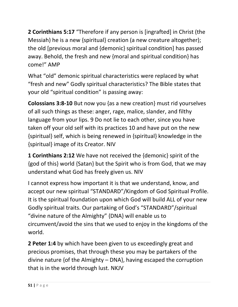**2 Corinthians 5:17** "Therefore if any person is [ingrafted] in Christ (the Messiah) he is a new {spiritual} creation (a new creature altogether); the old [previous moral and {demonic} spiritual condition] has passed away. Behold, the fresh and new {moral and spiritual condition} has come!" AMP

What "old" demonic spiritual characteristics were replaced by what "fresh and new" Godly spiritual characteristics? The Bible states that your old "spiritual condition" is passing away:

**Colossians 3:8-10** But now you {as a new creation} must rid yourselves of all such things as these: anger, rage, malice, slander, and filthy language from your lips. 9 Do not lie to each other, since you have taken off your old self with its practices 10 and have put on the new {spiritual} self, which is being renewed in {spiritual} knowledge in the {spiritual} image of its Creator. NIV

**1 Corinthians 2:12** We have not received the {demonic} spirit of the {god of this} world {Satan} but the Spirit who is from God, that we may understand what God has freely given us. NIV

I cannot express how important it is that we understand, know, and accept our new spiritual "STANDARD"/Kingdom of God Spiritual Profile. It is the spiritual foundation upon which God will build ALL of your new Godly spiritual traits. Our partaking of God's "STANDARD"/spiritual "divine nature of the Almighty" {DNA} will enable us to circumvent/avoid the sins that we used to enjoy in the kingdoms of the world.

**2 Peter 1:4** by which have been given to us exceedingly great and precious promises, that through these you may be partakers of the divine nature {of the Almighty – DNA}, having escaped the corruption that is in the world through lust. NKJV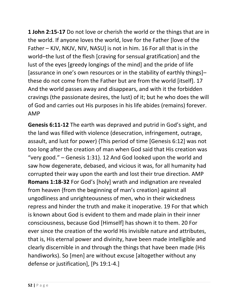**1 John 2:15-17** Do not love or cherish the world or the things that are in the world. If anyone loves the world, love for the Father [love of the Father – KJV, NKJV, NIV, NASU] is not in him. 16 For all that is in the world–the lust of the flesh [craving for sensual gratification] and the lust of the eyes [greedy longings of the mind] and the pride of life [assurance in one's own resources or in the stability of earthly things]– these do not come from the Father but are from the world [itself]. 17 And the world passes away and disappears, and with it the forbidden cravings (the passionate desires, the lust) of it; but he who does the will of God and carries out His purposes in his life abides (remains) forever. AMP

**Genesis 6:11-12** The earth was depraved and putrid in God's sight, and the land was filled with violence (desecration, infringement, outrage, assault, and lust for power) {This period of time [Genesis 6:12] was not too long after the creation of man when God said that His creation was "very good." – Genesis 1:31}. 12 And God looked upon the world and saw how degenerate, debased, and vicious it was, for all humanity had corrupted their way upon the earth and lost their true direction. AMP **Romans 1:18-32** For God's [holy] wrath and indignation are revealed from heaven {from the beginning of man's creation} against all ungodliness and unrighteousness of men, who in their wickedness repress and hinder the truth and make it inoperative. 19 For that which is known about God is evident to them and made plain in their inner consciousness, because God [Himself] has shown it to them. 20 For ever since the creation of the world His invisible nature and attributes, that is, His eternal power and divinity, have been made intelligible and clearly discernible in and through the things that have been made (His handiworks). So [men] are without excuse [altogether without any defense or justification], [Ps 19:1-4.]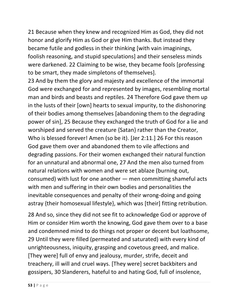21 Because when they knew and recognized Him as God, they did not honor and glorify Him as God or give Him thanks. But instead they became futile and godless in their thinking [with vain imaginings, foolish reasoning, and stupid speculations] and their senseless minds were darkened. 22 Claiming to be wise, they became fools [professing to be smart, they made simpletons of themselves].

23 And by them the glory and majesty and excellence of the immortal God were exchanged for and represented by images, resembling mortal man and birds and beasts and reptiles. 24 Therefore God gave them up in the lusts of their [own] hearts to sexual impurity, to the dishonoring of their bodies among themselves [abandoning them to the degrading power of sin], 25 Because they exchanged the truth of God for a lie and worshiped and served the creature {Satan} rather than the Creator, Who is blessed forever! Amen (so be it). [Jer 2:11.] 26 For this reason God gave them over and abandoned them to vile affections and degrading passions. For their women exchanged their natural function for an unnatural and abnormal one, 27 And the men also turned from natural relations with women and were set ablaze (burning out, consumed) with lust for one another — men committing shameful acts with men and suffering in their own bodies and personalities the inevitable consequences and penalty of their wrong-doing and going astray {their homosexual lifestyle}, which was [their] fitting retribution.

28 And so, since they did not see fit to acknowledge God or approve of Him or consider Him worth the knowing, God gave them over to a base and condemned mind to do things not proper or decent but loathsome, 29 Until they were filled (permeated and saturated) with every kind of unrighteousness, iniquity, grasping and covetous greed, and malice. [They were] full of envy and jealousy, murder, strife, deceit and treachery, ill will and cruel ways. [They were] secret backbiters and gossipers, 30 Slanderers, hateful to and hating God, full of insolence,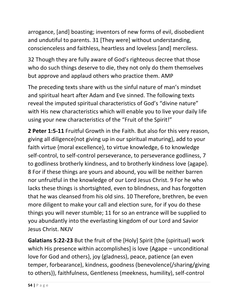arrogance, [and] boasting; inventors of new forms of evil, disobedient and undutiful to parents. 31 [They were] without understanding, conscienceless and faithless, heartless and loveless [and] merciless.

32 Though they are fully aware of God's righteous decree that those who do such things deserve to die, they not only do them themselves but approve and applaud others who practice them. AMP

The preceding texts share with us the sinful nature of man's mindset and spiritual heart after Adam and Eve sinned. The following texts reveal the imputed spiritual characteristics of God's "divine nature" with His new characteristics which will enable you to live your daily life using your new characteristics of the "Fruit of the Spirit!"

**2 Peter 1:5-11** Fruitful Growth in the Faith. But also for this very reason, giving all diligence{not giving up in our spiritual maturing}, add to your faith virtue {moral excellence}, to virtue knowledge, 6 to knowledge self-control, to self-control perseverance, to perseverance godliness, 7 to godliness brotherly kindness, and to brotherly kindness love {agape}. 8 For if these things are yours and abound, you will be neither barren nor unfruitful in the knowledge of our Lord Jesus Christ. 9 For he who lacks these things is shortsighted, even to blindness, and has forgotten that he was cleansed from his old sins. 10 Therefore, brethren, be even more diligent to make your call and election sure, for if you do these things you will never stumble; 11 for so an entrance will be supplied to you abundantly into the everlasting kingdom of our Lord and Savior Jesus Christ. NKJV

**Galatians 5:22-23** But the fruit of the [Holy] Spirit [the {spiritual} work which His presence within accomplishes] is love {Agape – unconditional love for God and others}, joy (gladness), peace, patience (an even temper, forbearance), kindness, goodness (benevolence{/sharing/giving to others}), faithfulness, Gentleness (meekness, humility), self-control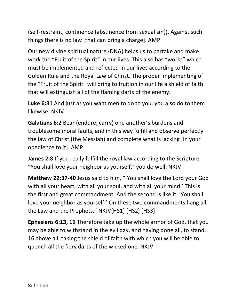(self-restraint, continence {abstinence from sexual sin}). Against such things there is no law [that can bring a charge]. AMP

Our new divine spiritual nature {DNA} helps us to partake and make work the "Fruit of the Spirit" in our lives. This also has "works" which must be implemented and reflected in our lives according to the Golden Rule and the Royal Law of Christ. The proper implementing of the "Fruit of the Spirit" will bring to fruition in our life a shield of faith that will extinguish all of the flaming darts of the enemy.

**Luke 6:31** And just as you want men to do to you, you also do to them likewise. NKJV

**Galatians 6:2** Bear (endure, carry) one another's burdens and troublesome moral faults, and in this way fulfill and observe perfectly the law of Christ (the Messiah) and complete what is lacking [in your obedience to it]. AMP

**James 2:8** If you really fulfill the royal law according to the Scripture, "You shall love your neighbor as yourself," you do well; NKJV

**Matthew 22:37-40** Jesus said to him, "'You shall love the Lord your God with all your heart, with all your soul, and with all your mind.' This is the first and great commandment. And the second is like it: 'You shall love your neighbor as yourself.' On these two commandments hang all the Law and the Prophets." NKJV[HS1] [HS2] [HS3]

**Ephesians 6:13, 16** Therefore take up the whole armor of God, that you may be able to withstand in the evil day, and having done all, to stand. 16 above all, taking the shield of faith with which you will be able to quench all the fiery darts of the wicked one. NKJV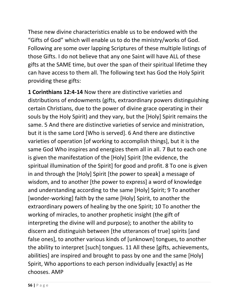These new divine characteristics enable us to be endowed with the "Gifts of God" which will enable us to do the ministry/works of God. Following are some over lapping Scriptures of these multiple listings of those Gifts. I do not believe that any one Saint will have ALL of these gifts at the SAME time, but over the span of their spiritual lifetime they can have access to them all. The following text has God the Holy Spirit providing these gifts:

**1 Corinthians 12:4-14** Now there are distinctive varieties and distributions of endowments (gifts, extraordinary powers distinguishing certain Christians, due to the power of divine grace operating in their souls by the Holy Spirit) and they vary, but the [Holy] Spirit remains the same. 5 And there are distinctive varieties of service and ministration, but it is the same Lord [Who is served]. 6 And there are distinctive varieties of operation [of working to accomplish things], but it is the same God Who inspires and energizes them all in all. 7 But to each one is given the manifestation of the [Holy] Spirit [the evidence, the spiritual illumination of the Spirit] for good and profit. 8 To one is given in and through the [Holy] Spirit [the power to speak] a message of wisdom, and to another [the power to express] a word of knowledge and understanding according to the same [Holy] Spirit; 9 To another [wonder-working] faith by the same [Holy] Spirit, to another the extraordinary powers of healing by the one Spirit; 10 To another the working of miracles, to another prophetic insight (the gift of interpreting the divine will and purpose); to another the ability to discern and distinguish between [the utterances of true] spirits [and false ones], to another various kinds of [unknown] tongues, to another the ability to interpret [such] tongues. 11 All these [gifts, achievements, abilities] are inspired and brought to pass by one and the same [Holy] Spirit, Who apportions to each person individually [exactly] as He chooses. AMP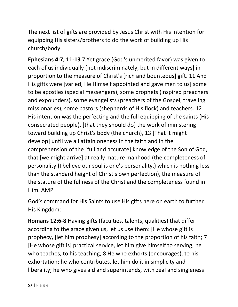The next list of gifts are provided by Jesus Christ with His intention for equipping His sisters/brothers to do the work of building up His church/body:

**Ephesians 4:7, 11-13** 7 Yet grace (God's unmerited favor) was given to each of us individually [not indiscriminately, but in different ways] in proportion to the measure of Christ's [rich and bounteous] gift. 11 And His gifts were [varied; He Himself appointed and gave men to us] some to be apostles (special messengers), some prophets (inspired preachers and expounders), some evangelists (preachers of the Gospel, traveling missionaries), some pastors (shepherds of His flock) and teachers. 12 His intention was the perfecting and the full equipping of the saints (His consecrated people), [that they should do] the work of ministering toward building up Christ's body (the church), 13 [That it might develop] until we all attain oneness in the faith and in the comprehension of the [full and accurate] knowledge of the Son of God, that [we might arrive] at really mature manhood (the completeness of personality {I believe our soul is one's personality.} which is nothing less than the standard height of Christ's own perfection), the measure of the stature of the fullness of the Christ and the completeness found in Him. AMP

God's command for His Saints to use His gifts here on earth to further His Kingdom:

**Romans 12:6-8** Having gifts (faculties, talents, qualities) that differ according to the grace given us, let us use them: [He whose gift is] prophecy, [let him prophesy] according to the proportion of his faith; 7 [He whose gift is] practical service, let him give himself to serving; he who teaches, to his teaching; 8 He who exhorts (encourages), to his exhortation; he who contributes, let him do it in simplicity and liberality; he who gives aid and superintends, with zeal and singleness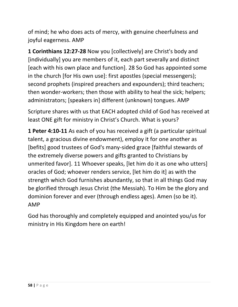of mind; he who does acts of mercy, with genuine cheerfulness and joyful eagerness. AMP

**1 Corinthians 12:27-28** Now you [collectively] are Christ's body and [individually] you are members of it, each part severally and distinct [each with his own place and function]. 28 So God has appointed some in the church [for His own use]: first apostles (special messengers); second prophets (inspired preachers and expounders); third teachers; then wonder-workers; then those with ability to heal the sick; helpers; administrators; [speakers in] different (unknown) tongues. AMP

Scripture shares with us that EACH adopted child of God has received at least ONE gift for ministry in Christ's Church. What is yours?

**1 Peter 4:10-11** As each of you has received a gift (a particular spiritual talent, a gracious divine endowment), employ it for one another as [befits] good trustees of God's many-sided grace [faithful stewards of the extremely diverse powers and gifts granted to Christians by unmerited favor]. 11 Whoever speaks, [let him do it as one who utters] oracles of God; whoever renders service, [let him do it] as with the strength which God furnishes abundantly, so that in all things God may be glorified through Jesus Christ (the Messiah). To Him be the glory and dominion forever and ever (through endless ages). Amen (so be it). AMP

God has thoroughly and completely equipped and anointed you/us for ministry in His Kingdom here on earth!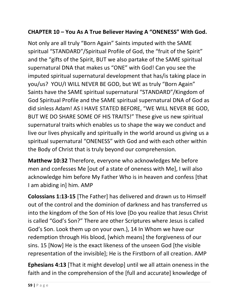#### **CHAPTER 10 – You As A True Believer Having A "ONENESS" With God.**

Not only are all truly "Born Again" Saints imputed with the SAME spiritual "STANDARD"/Spiritual Profile of God, the "fruit of the Spirit" and the "gifts of the Spirit, BUT we also partake of the SAME spiritual supernatural DNA that makes us "ONE" with God! Can you see the imputed spiritual supernatural development that has/is taking place in you/us? YOU/I WILL NEVER BE GOD, but WE as truly "Born Again" Saints have the SAME spiritual supernatural "STANDARD"/Kingdom of God Spiritual Profile and the SAME spiritual supernatural DNA of God as did sinless Adam! AS I HAVE STATED BEFORE, "WE WILL NEVER BE GOD, BUT WE DO SHARE SOME OF HIS TRAITS!" These give us new spiritual supernatural traits which enables us to shape the way we conduct and live our lives physically and spiritually in the world around us giving us a spiritual supernatural "ONENESS" with God and with each other within the Body of Christ that is truly beyond our comprehension.

**Matthew 10:32** Therefore, everyone who acknowledges Me before men and confesses Me [out of a state of oneness with Me], I will also acknowledge him before My Father Who is in heaven and confess [that I am abiding in] him. AMP

**Colossians 1:13-15** [The Father] has delivered and drawn us to Himself out of the control and the dominion of darkness and has transferred us into the kingdom of the Son of His love {Do you realize that Jesus Christ is called "God's Son?" There are other Scriptures where Jesus is called God's Son. Look them up on your own.}, 14 In Whom we have our redemption through His blood, [which means] the forgiveness of our sins. 15 [Now] He is the exact likeness of the unseen God [the visible representation of the invisible]; He is the Firstborn of all creation. AMP

**Ephesians 4:13** [That it might develop] until we all attain oneness in the faith and in the comprehension of the [full and accurate] knowledge of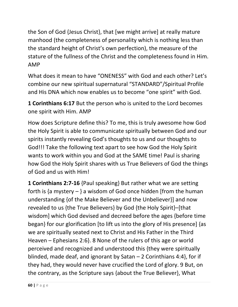the Son of God {Jesus Christ}, that [we might arrive] at really mature manhood (the completeness of personality which is nothing less than the standard height of Christ's own perfection), the measure of the stature of the fullness of the Christ and the completeness found in Him. AMP

What does it mean to have "ONENESS" with God and each other? Let's combine our new spiritual supernatural "STANDARD"/Spiritual Profile and His DNA which now enables us to become "one spirit" with God.

**1 Corinthians 6:17** But the person who is united to the Lord becomes one spirit with Him. AMP

How does Scripture define this? To me, this is truly awesome how God the Holy Spirit is able to communicate spiritually between God and our spirits instantly revealing God's thoughts to us and our thoughts to God!!! Take the following text apart to see how God the Holy Spirit wants to work within you and God at the SAME time! Paul is sharing how God the Holy Spirit shares with us True Believers of God the things of God and us with Him!

**1 Corinthians 2:7-16** {Paul speaking} But rather what we are setting forth is {a mystery  $-$  } a wisdom of God once hidden [from the human] understanding {of the Make Believer and the Unbeliever}] and now revealed to us {the True Believers} by God {the Holy Spirit}–[that wisdom] which God devised and decreed before the ages {before time began} for our glorification [to lift us into the glory of His presence] {as we are spiritually seated next to Christ and His Father in the Third Heaven – Ephesians 2:6}. 8 None of the rulers of this age or world perceived and recognized and understood this {they were spiritually blinded, made deaf, and ignorant by Satan – 2 Corinthians 4:4}, for if they had, they would never have crucified the Lord of glory. 9 But, on the contrary, as the Scripture says {about the True Believer}, What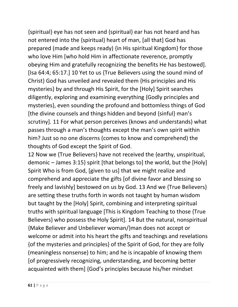{spiritual} eye has not seen and {spiritual} ear has not heard and has not entered into the {spiritual} heart of man, [all that] God has prepared (made and keeps ready) {in His spiritual Kingdom} for those who love Him [who hold Him in affectionate reverence, promptly obeying Him and gratefully recognizing the benefits He has bestowed]. [Isa 64:4; 65:17.] 10 Yet to us {True Believers using the sound mind of Christ} God has unveiled and revealed them {His principles and His mysteries} by and through His Spirit, for the [Holy] Spirit searches diligently, exploring and examining everything {Godly principles and mysteries}, even sounding the profound and bottomless things of God [the divine counsels and things hidden and beyond {sinful} man's scrutiny]. 11 For what person perceives (knows and understands) what passes through a man's thoughts except the man's own spirit within him? Just so no one discerns (comes to know and comprehend) the thoughts of God except the Spirit of God.

12 Now we {True Believers} have not received the {earthy, unspiritual, demonic – James 3:15} spirit [that belongs to] the world, but the [Holy] Spirit Who is from God, [given to us] that we might realize and comprehend and appreciate the gifts [of divine favor and blessing so freely and lavishly] bestowed on us by God. 13 And we {True Believers} are setting these truths forth in words not taught by human wisdom but taught by the [Holy] Spirit, combining and interpreting spiritual truths with spiritual language [This is Kingdom Teaching to those {True Believers} who possess the Holy Spirit]. 14 But the natural, nonspiritual {Make Believer and Unbeliever woman/}man does not accept or welcome or admit into his heart the gifts and teachings and revelations {of the mysteries and principles} of the Spirit of God, for they are folly (meaningless nonsense) to him; and he is incapable of knowing them [of progressively recognizing, understanding, and becoming better acquainted with them] {God's principles because his/her mindset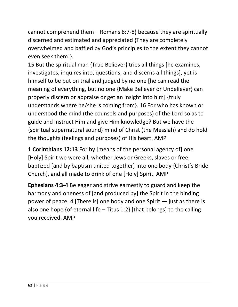cannot comprehend them – Romans 8:7-8} because they are spiritually discerned and estimated and appreciated {They are completely overwhelmed and baffled by God's principles to the extent they cannot even seek them!}.

15 But the spiritual man {True Believer} tries all things [he examines, investigates, inquires into, questions, and discerns all things], yet is himself to be put on trial and judged by no one [he can read the meaning of everything, but no one {Make Believer or Unbeliever} can properly discern or appraise or get an insight into him] {truly understands where he/she is coming from}. 16 For who has known or understood the mind (the counsels and purposes) of the Lord so as to guide and instruct Him and give Him knowledge? But we have the {spiritual supernatural sound} mind of Christ (the Messiah) and do hold the thoughts (feelings and purposes) of His heart. AMP

**1 Corinthians 12:13** For by [means of the personal agency of] one [Holy] Spirit we were all, whether Jews or Greeks, slaves or free, baptized [and by baptism united together] into one body {Christ's Bride Church}, and all made to drink of one [Holy] Spirit. AMP

**Ephesians 4:3-4** Be eager and strive earnestly to guard and keep the harmony and oneness of [and produced by] the Spirit in the binding power of peace. 4 [There is] one body and one Spirit — just as there is also one hope {of eternal life – Titus 1:2} [that belongs] to the calling you received. AMP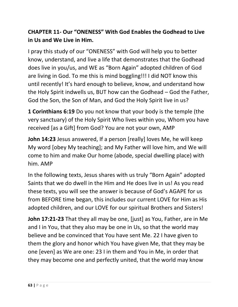## **CHAPTER 11- Our "ONENESS" With God Enables the Godhead to Live in Us and We Live in Him.**

I pray this study of our "ONENESS" with God will help you to better know, understand, and live a life that demonstrates that the Godhead does live in you/us, and WE as "Born Again" adopted children of God are living in God. To me this is mind boggling!!! I did NOT know this until recently! It's hard enough to believe, know, and understand how the Holy Spirit indwells us, BUT how can the Godhead – God the Father, God the Son, the Son of Man, and God the Holy Spirit live in us?

**1 Corinthians 6:19** Do you not know that your body is the temple (the very sanctuary) of the Holy Spirit Who lives within you, Whom you have received [as a Gift] from God? You are not your own, AMP

**John 14:23** Jesus answered, If a person [really] loves Me, he will keep My word [obey My teaching]; and My Father will love him, and We will come to him and make Our home (abode, special dwelling place) with him. AMP

In the following texts, Jesus shares with us truly "Born Again" adopted Saints that we do dwell in the Him and He does live in us! As you read these texts, you will see the answer is because of God's AGAPE for us from BEFORE time began, this includes our current LOVE for Him as His adopted children, and our LOVE for our spiritual Brothers and Sisters!

**John 17:21-23** That they all may be one, [just] as You, Father, are in Me and I in You, that they also may be one in Us, so that the world may believe and be convinced that You have sent Me. 22 I have given to them the glory and honor which You have given Me, that they may be one [even] as We are one: 23 I in them and You in Me, in order that they may become one and perfectly united, that the world may know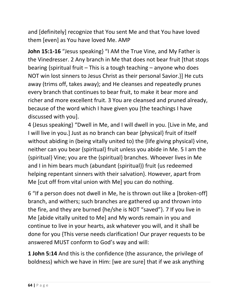and [definitely] recognize that You sent Me and that You have loved them [even] as You have loved Me. AMP

**John 15:1-16** "Jesus speaking} "I AM the True Vine, and My Father is the Vinedresser. 2 Any branch in Me that does not bear fruit [that stops bearing {spiritual fruit – This is a tough teaching – anyone who does NOT win lost sinners to Jesus Christ as their personal Savior.}] He cuts away (trims off, takes away); and He cleanses and repeatedly prunes every branch that continues to bear fruit, to make it bear more and richer and more excellent fruit. 3 You are cleansed and pruned already, because of the word which I have given you [the teachings I have discussed with you].

4 {Jesus speaking} "Dwell in Me, and I will dwell in you. [Live in Me, and I will live in you.] Just as no branch can bear {physical} fruit of itself without abiding in (being vitally united to) the {life giving physical} vine, neither can you bear {spiritual} fruit unless you abide in Me. 5 I am the {spiritual} Vine; you are the {spiritual} branches. Whoever lives in Me and I in him bears much (abundant {spiritual}) fruit {us redeemed helping repentant sinners with their salvation}. However, apart from Me [cut off from vital union with Me] you can do nothing.

6 "If a person does not dwell in Me, he is thrown out like a [broken-off] branch, and withers; such branches are gathered up and thrown into the fire, and they are burned {he/she is NOT "saved"}. 7 If you live in Me [abide vitally united to Me] and My words remain in you and continue to live in your hearts, ask whatever you will, and it shall be done for you {This verse needs clarification! Our prayer requests to be answered MUST conform to God's way and will:

**1 John 5:14** And this is the confidence (the assurance, the privilege of boldness) which we have in Him: [we are sure] that if we ask anything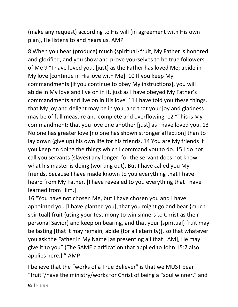(make any request) according to His will (in agreement with His own plan), He listens to and hears us. AMP

8 When you bear (produce) much {spiritual} fruit, My Father is honored and glorified, and you show and prove yourselves to be true followers of Me 9 "I have loved you, [just] as the Father has loved Me; abide in My love [continue in His love with Me]. 10 If you keep My commandments [if you continue to obey My instructions], you will abide in My love and live on in it, just as I have obeyed My Father's commandments and live on in His love. 11 I have told you these things, that My joy and delight may be in you, and that your joy and gladness may be of full measure and complete and overflowing. 12 "This is My commandment: that you love one another [just] as I have loved you. 13 No one has greater love [no one has shown stronger affection] than to lay down (give up) his own life for his friends. 14 You are My friends if you keep on doing the things which I command you to do. 15 I do not call you servants (slaves) any longer, for the servant does not know what his master is doing (working out). But I have called you My friends, because I have made known to you everything that I have heard from My Father. [I have revealed to you everything that I have learned from Him.]

16 "You have not chosen Me, but I have chosen you and I have appointed you [I have planted you], that you might go and bear {much spiritual} fruit {using your testimony to win sinners to Christ as their personal Savior} and keep on bearing, and that your {spiritual} fruit may be lasting [that it may remain, abide {for all eternity}], so that whatever you ask the Father in My Name [as presenting all that I AM], He may give it to you" {The SAME clarification that applied to John 15:7 also applies here.}." AMP

I believe that the "works of a True Believer" is that we MUST bear "fruit"/have the ministry/works for Christ of being a "soul winner," and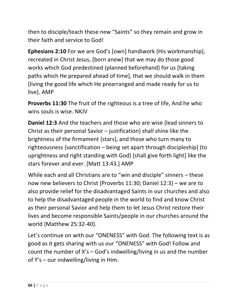then to disciple/teach these new "Saints" so they remain and grow in their faith and service to God!

**Ephesians 2:10** For we are God's [own] handiwork (His workmanship), recreated in Christ Jesus, [born anew] that we may do those good works which God predestined (planned beforehand) for us [taking paths which He prepared ahead of time], that we should walk in them [living the good life which He prearranged and made ready for us to live]. AMP

**Proverbs 11:30** The fruit of the righteous is a tree of life, And he who wins souls is wise. NKJV

**Daniel 12:3** And the teachers and those who are wise {lead sinners to Christ as their personal Savior – justification} shall shine like the brightness of the firmament {stars}, and those who turn many to righteousness {sanctification – being set apart through discipleship} (to uprightness and right standing with God) [shall give forth light] like the stars forever and ever. [Matt 13:43.] AMP

While each and all Christians are to "win and disciple" sinners – these now new believers to Christ {Proverbs 11:30; Daniel 12:3} – we are to also provide relief for the disadvantaged Saints in our churches and also to help the disadvantaged people in the world to find and know Christ as their personal Savior and help them to let Jesus Christ restore their lives and become responsible Saints/people in our churches around the world {Matthew 25:32-40}.

Let's continue on with our "ONENESS" with God. The following text is as good as it gets sharing with us our "ONENESS" with God! Follow and count the number of X's – God's indwelling/living in us and the number of Y's – our indwelling/living in Him.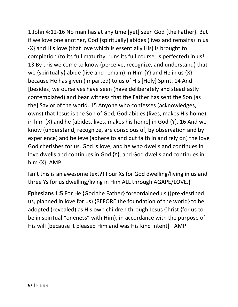1 John 4:12-16 No man has at any time [yet] seen God {the Father}. But if we love one another, God {spiritually} abides (lives and remains) in us {X} and His love (that love which is essentially His) is brought to completion (to its full maturity, runs its full course, is perfected) in us! 13 By this we come to know (perceive, recognize, and understand) that we {spiritually} abide (live and remain) in Him  ${Y}$  and He in us  ${X}$ : because He has given (imparted) to us of His [Holy] Spirit. 14 And [besides] we ourselves have seen (have deliberately and steadfastly contemplated) and bear witness that the Father has sent the Son [as the] Savior of the world. 15 Anyone who confesses (acknowledges, owns) that Jesus is the Son of God, God abides (lives, makes His home) in him  $\{X\}$  and he [abides, lives, makes his home] in God  $\{Y\}$ . 16 And we know (understand, recognize, are conscious of, by observation and by experience) and believe (adhere to and put faith in and rely on) the love God cherishes for us. God is love, and he who dwells and continues in love dwells and continues in God {Y}, and God dwells and continues in him {X}. AMP

Isn't this is an awesome text?! Four Xs for God dwelling/living in us and three Ys for us dwelling/living in Him ALL through AGAPE/LOVE.}

**Ephesians 1:5** For He {God the Father} foreordained us ({pre}destined us, planned in love for us) {BEFORE the foundation of the world} to be adopted (revealed) as His own children through Jesus Christ {for us to be in spiritual "oneness" with Him}, in accordance with the purpose of His will [because it pleased Him and was His kind intent]– AMP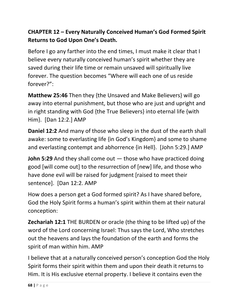# **CHAPTER 12 – Every Naturally Conceived Human's God Formed Spirit Returns to God Upon One's Death.**

Before I go any farther into the end times, I must make it clear that I believe every naturally conceived human's spirit whether they are saved during their life time or remain unsaved will spiritually live forever. The question becomes "Where will each one of us reside forever?":

**Matthew 25:46** Then they {the Unsaved and Make Believers} will go away into eternal punishment, but those who are just and upright and in right standing with God {the True Believers} into eternal life {with Him}. [Dan 12:2.] AMP

**Daniel 12:2** And many of those who sleep in the dust of the earth shall awake: some to everlasting life {in God's Kingdom} and some to shame and everlasting contempt and abhorrence {in Hell}. [John 5:29.] AMP

**John 5:29** And they shall come out — those who have practiced doing good [will come out] to the resurrection of [new] life, and those who have done evil will be raised for judgment [raised to meet their sentence]. [Dan 12:2. AMP

How does a person get a God formed spirit? As I have shared before, God the Holy Spirit forms a human's spirit within them at their natural conception:

**Zechariah 12:1** THE BURDEN or oracle (the thing to be lifted up) of the word of the Lord concerning Israel: Thus says the Lord, Who stretches out the heavens and lays the foundation of the earth and forms the spirit of man within him. AMP

I believe that at a naturally conceived person's conception God the Holy Spirit forms their spirit within them and upon their death it returns to Him. It is His exclusive eternal property. I believe it contains even the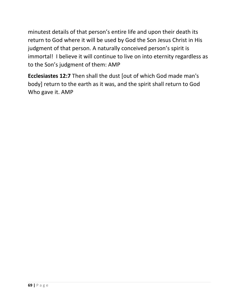minutest details of that person's entire life and upon their death its return to God where it will be used by God the Son Jesus Christ in His judgment of that person. A naturally conceived person's spirit is immortal! I believe it will continue to live on into eternity regardless as to the Son's judgment of them: AMP

**Ecclesiastes 12:7** Then shall the dust [out of which God made man's body] return to the earth as it was, and the spirit shall return to God Who gave it. AMP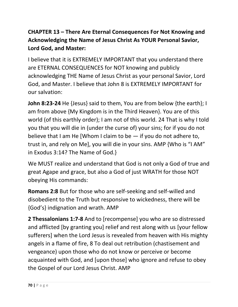# **CHAPTER 13 – There Are Eternal Consequences For Not Knowing and Acknowledging the Name of Jesus Christ As YOUR Personal Savior, Lord God, and Master:**

I believe that it is EXTREMELY IMPORTANT that you understand there are ETERNAL CONSEQUENCES for NOT knowing and publicly acknowledging THE Name of Jesus Christ as your personal Savior, Lord God, and Master. I believe that John 8 is EXTREMELY IMPORTANT for our salvation:

**John 8:23-24** He {Jesus} said to them, You are from below {the earth}; I am from above {My Kingdom is in the Third Heaven}. You are of this world (of this earthly order); I am not of this world. 24 That is why I told you that you will die in (under the curse of) your sins; for if you do not believe that I am He [Whom I claim to be  $-$  if you do not adhere to, trust in, and rely on Me], you will die in your sins. AMP {Who is "I AM" in Exodus 3:14? The Name of God.}

We MUST realize and understand that God is not only a God of true and great Agape and grace, but also a God of just WRATH for those NOT obeying His commands:

**Romans 2:8** But for those who are self-seeking and self-willed and disobedient to the Truth but responsive to wickedness, there will be {God's} indignation and wrath. AMP

**2 Thessalonians 1:7-8** And to [recompense] you who are so distressed and afflicted [by granting you] relief and rest along with us [your fellow sufferers] when the Lord Jesus is revealed from heaven with His mighty angels in a flame of fire, 8 To deal out retribution (chastisement and vengeance) upon those who do not know or perceive or become acquainted with God, and [upon those] who ignore and refuse to obey the Gospel of our Lord Jesus Christ. AMP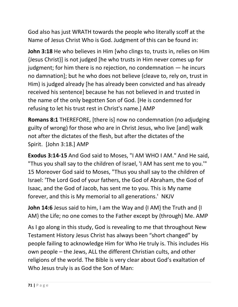God also has just WRATH towards the people who literally scoff at the Name of Jesus Christ Who is God. Judgment of this can be found in:

**John 3:18** He who believes in Him [who clings to, trusts in, relies on Him {Jesus Christ}] is not judged [he who trusts in Him never comes up for judgment; for him there is no rejection, no condemnation — he incurs no damnation]; but he who does not believe (cleave to, rely on, trust in Him) is judged already [he has already been convicted and has already received his sentence] because he has not believed in and trusted in the name of the only begotten Son of God. [He is condemned for refusing to let his trust rest in Christ's name.] AMP

**Romans 8:1** THEREFORE, [there is] now no condemnation (no adjudging guilty of wrong) for those who are in Christ Jesus, who live [and] walk not after the dictates of the flesh, but after the dictates of the Spirit. [John 3:18.] AMP

**Exodus 3:14-15** And God said to Moses, "I AM WHO I AM." And He said, "Thus you shall say to the children of Israel, 'I AM has sent me to you.'" 15 Moreover God said to Moses, "Thus you shall say to the children of Israel: 'The Lord God of your fathers, the God of Abraham, the God of Isaac, and the God of Jacob, has sent me to you. This is My name forever, and this is My memorial to all generations.' NKJV

**John 14:6** Jesus said to him, I am the Way and {I AM} the Truth and {I AM} the Life; no one comes to the Father except by (through) Me. AMP

As I go along in this study, God is revealing to me that throughout New Testament History Jesus Christ has always been "short changed" by people failing to acknowledge Him for Who He truly is. This includes His own people – the Jews, ALL the different Christian cults, and other religions of the world. The Bible is very clear about God's exaltation of Who Jesus truly is as God the Son of Man: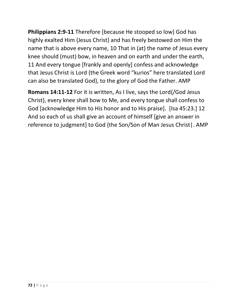**Philippians 2:9-11** Therefore [because He stooped so low] God has highly exalted Him {Jesus Christ} and has freely bestowed on Him the name that is above every name, 10 That in (at) the name of Jesus every knee should (must) bow, in heaven and on earth and under the earth, 11 And every tongue [frankly and openly] confess and acknowledge that Jesus Christ is Lord {the Greek word "kurios" here translated Lord can also be translated God}, to the glory of God the Father. AMP

**Romans 14:11-12** For it is written, As I live, says the Lord{/God Jesus Christ}, every knee shall bow to Me, and every tongue shall confess to God [acknowledge Him to His honor and to His praise]. [Isa 45:23.] 12 And so each of us shall give an account of himself [give an answer in reference to judgment] to God {the Son/Son of Man Jesus Christ|. AMP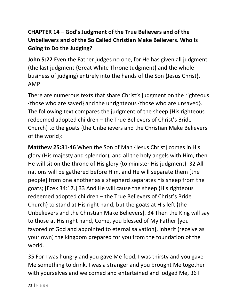# **CHAPTER 14 – God's Judgment of the True Believers and of the Unbelievers and of the So Called Christian Make Believers. Who Is Going to Do the Judging?**

**John 5:22** Even the Father judges no one, for He has given all judgment (the last judgment {Great White Throne Judgment} and the whole business of judging) entirely into the hands of the Son {Jesus Christ}, AMP

There are numerous texts that share Christ's judgment on the righteous {those who are saved} and the unrighteous {those who are unsaved}. The following text compares the judgment of the sheep {His righteous redeemed adopted children – the True Believers of Christ's Bride Church} to the goats {the Unbelievers and the Christian Make Believers of the world}:

**Matthew 25:31-46** When the Son of Man {Jesus Christ} comes in His glory (His majesty and splendor), and all the holy angels with Him, then He will sit on the throne of His glory {to minister His judgment}. 32 All nations will be gathered before Him, and He will separate them [the people] from one another as a shepherd separates his sheep from the goats; [Ezek 34:17.] 33 And He will cause the sheep {His righteous redeemed adopted children – the True Believers of Christ's Bride Church} to stand at His right hand, but the goats at His left {the Unbelievers and the Christian Make Believers}. 34 Then the King will say to those at His right hand, Come, you blessed of My Father [you favored of God and appointed to eternal salvation], inherit (receive as your own) the kingdom prepared for you from the foundation of the world.

35 For I was hungry and you gave Me food, I was thirsty and you gave Me something to drink, I was a stranger and you brought Me together with yourselves and welcomed and entertained and lodged Me, 36 I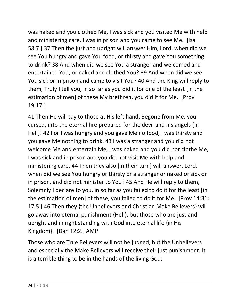was naked and you clothed Me, I was sick and you visited Me with help and ministering care, I was in prison and you came to see Me. [Isa 58:7.] 37 Then the just and upright will answer Him, Lord, when did we see You hungry and gave You food, or thirsty and gave You something to drink? 38 And when did we see You a stranger and welcomed and entertained You, or naked and clothed You? 39 And when did we see You sick or in prison and came to visit You? 40 And the King will reply to them, Truly I tell you, in so far as you did it for one of the least [in the estimation of men] of these My brethren, you did it for Me. [Prov 19:17.]

41 Then He will say to those at His left hand, Begone from Me, you cursed, into the eternal fire prepared for the devil and his angels {in Hell}! 42 For I was hungry and you gave Me no food, I was thirsty and you gave Me nothing to drink, 43 I was a stranger and you did not welcome Me and entertain Me, I was naked and you did not clothe Me, I was sick and in prison and you did not visit Me with help and ministering care. 44 Then they also [in their turn] will answer, Lord, when did we see You hungry or thirsty or a stranger or naked or sick or in prison, and did not minister to You? 45 And He will reply to them, Solemnly I declare to you, in so far as you failed to do it for the least [in the estimation of men] of these, you failed to do it for Me. [Prov 14:31; 17:5.] 46 Then they {the Unbelievers and Christian Make Believers} will go away into eternal punishment {Hell}, but those who are just and upright and in right standing with God into eternal life {in His Kingdom}. [Dan 12:2.] AMP

Those who are True Believers will not be judged, but the Unbelievers and especially the Make Believers will receive their just punishment. It is a terrible thing to be in the hands of the living God: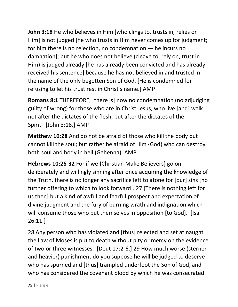**John 3:18** He who believes in Him [who clings to, trusts in, relies on Him] is not judged [he who trusts in Him never comes up for judgment; for him there is no rejection, no condemnation — he incurs no damnation]; but he who does not believe (cleave to, rely on, trust in Him) is judged already [he has already been convicted and has already received his sentence] because he has not believed in and trusted in the name of the only begotten Son of God. [He is condemned for refusing to let his trust rest in Christ's name.] AMP

**Romans 8:1** THEREFORE, [there is] now no condemnation (no adjudging guilty of wrong) for those who are in Christ Jesus, who live [and] walk not after the dictates of the flesh, but after the dictates of the Spirit. [John 3:18.] AMP

**Matthew 10:28** And do not be afraid of those who kill the body but cannot kill the soul; but rather be afraid of Him {God} who can destroy both soul and body in hell (Gehenna). AMP

**Hebrews 10:26-32** For if we {Christian Make Believers} go on deliberately and willingly sinning after once acquiring the knowledge of the Truth, there is no longer any sacrifice left to atone for [our] sins [no further offering to which to look forward]. 27 [There is nothing left for us then] but a kind of awful and fearful prospect and expectation of divine judgment and the fury of burning wrath and indignation which will consume those who put themselves in opposition [to God]. [Isa 26:11.]

28 Any person who has violated and [thus] rejected and set at naught the Law of Moses is put to death without pity or mercy on the evidence of two or three witnesses. [Deut 17:2-6.] 29 How much worse (sterner and heavier) punishment do you suppose he will be judged to deserve who has spurned and [thus] trampled underfoot the Son of God, and who has considered the covenant blood by which he was consecrated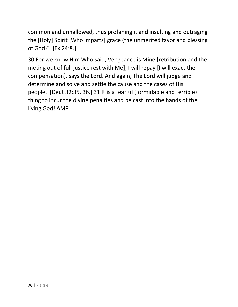common and unhallowed, thus profaning it and insulting and outraging the [Holy] Spirit [Who imparts] grace (the unmerited favor and blessing of God)? [Ex 24:8.]

30 For we know Him Who said, Vengeance is Mine [retribution and the meting out of full justice rest with Me]; I will repay [I will exact the compensation], says the Lord. And again, The Lord will judge and determine and solve and settle the cause and the cases of His people. [Deut 32:35, 36.] 31 It is a fearful (formidable and terrible) thing to incur the divine penalties and be cast into the hands of the living God! AMP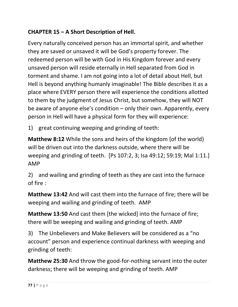## **CHAPTER 15 – A Short Description of Hell.**

Every naturally conceived person has an immortal spirit, and whether they are saved or unsaved it will be God's property forever. The redeemed person will be with God in His Kingdom forever and every unsaved person will reside eternally in Hell separated from God in torment and shame. I am not going into a lot of detail about Hell, but Hell is beyond anything humanly imaginable! The Bible describes it as a place where EVERY person there will experience the conditions allotted to them by the judgment of Jesus Christ, but somehow, they will NOT be aware of anyone else's condition – only their own. Apparently, every person in Hell will have a physical form for they will experience:

1) great continuing weeping and grinding of teeth:

**Matthew 8:12** While the sons and heirs of the kingdom {of the world} will be driven out into the darkness outside, where there will be weeping and grinding of teeth. [Ps 107:2, 3; Isa 49:12; 59:19; Mal 1:11.] AMP

2) and wailing and grinding of teeth as they are cast into the furnace of fire :

**Matthew 13:42** And will cast them into the furnace of fire; there will be weeping and wailing and grinding of teeth. AMP

**Matthew 13:50** And cast them [the wicked] into the furnace of fire; there will be weeping and wailing and grinding of teeth. AMP

3) The Unbelievers and Make Believers will be considered as a "no account" person and experience continual darkness with weeping and grinding of teeth:

**Matthew 25:30** And throw the good-for-nothing servant into the outer darkness; there will be weeping and grinding of teeth. AMP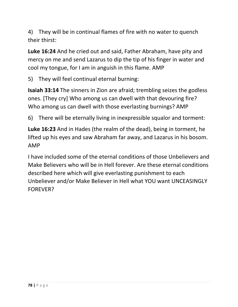4) They will be in continual flames of fire with no water to quench their thirst:

**Luke 16:24** And he cried out and said, Father Abraham, have pity and mercy on me and send Lazarus to dip the tip of his finger in water and cool my tongue, for I am in anguish in this flame. AMP

5) They will feel continual eternal burning:

**Isaiah 33:14** The sinners in Zion are afraid; trembling seizes the godless ones. [They cry] Who among us can dwell with that devouring fire? Who among us can dwell with those everlasting burnings? AMP

6) There will be eternally living in inexpressible squalor and torment:

**Luke 16:23** And in Hades (the realm of the dead), being in torment, he lifted up his eyes and saw Abraham far away, and Lazarus in his bosom. AMP

I have included some of the eternal conditions of those Unbelievers and Make Believers who will be in Hell forever. Are these eternal conditions described here which will give everlasting punishment to each Unbeliever and/or Make Believer in Hell what YOU want UNCEASINGLY FOREVER?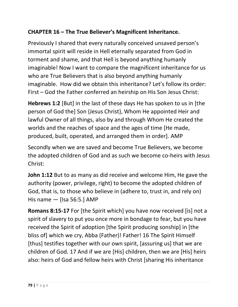## **CHAPTER 16 – The True Believer's Magnificent Inheritance.**

Previously I shared that every naturally conceived unsaved person's immortal spirit will reside in Hell eternally separated from God in torment and shame, and that Hell is beyond anything humanly imaginable! Now I want to compare the magnificent inheritance for us who are True Believers that is also beyond anything humanly imaginable. How did we obtain this inheritance? Let's follow its order: First – God the Father conferred an heirship on His Son Jesus Christ:

**Hebrews 1:2** [But] in the last of these days He has spoken to us in [the person of God the] Son {Jesus Christ}, Whom He appointed Heir and lawful Owner of all things, also by and through Whom He created the worlds and the reaches of space and the ages of time [He made, produced, built, operated, and arranged them in order]. AMP

Secondly when we are saved and become True Believers, we become the adopted children of God and as such we become co-heirs with Jesus Christ:

**John 1:12** But to as many as did receive and welcome Him, He gave the authority (power, privilege, right) to become the adopted children of God, that is, to those who believe in (adhere to, trust in, and rely on) His name — [Isa 56:5.] AMP

**Romans 8:15-17** For [the Spirit which] you have now received [is] not a spirit of slavery to put you once more in bondage to fear, but you have received the Spirit of adoption [the Spirit producing sonship] in [the bliss of] which we cry, Abba (Father)! Father! 16 The Spirit Himself [thus] testifies together with our own spirit, [assuring us] that we are children of God. 17 And if we are [His] children, then we are [His] heirs also: heirs of God and fellow heirs with Christ [sharing His inheritance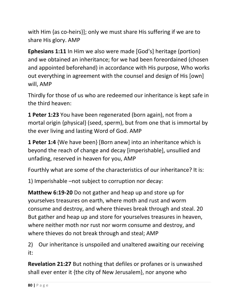with Him {as co-heirs}]; only we must share His suffering if we are to share His glory. AMP

**Ephesians 1:11** In Him we also were made [God's] heritage (portion) and we obtained an inheritance; for we had been foreordained (chosen and appointed beforehand) in accordance with His purpose, Who works out everything in agreement with the counsel and design of His [own] will, AMP

Thirdly for those of us who are redeemed our inheritance is kept safe in the third heaven:

**1 Peter 1:23** You have been regenerated (born again), not from a mortal origin {physical} (seed, sperm), but from one that is immortal by the ever living and lasting Word of God. AMP

**1 Peter 1:4** {We have been} [Born anew] into an inheritance which is beyond the reach of change and decay [imperishable], unsullied and unfading, reserved in heaven for you, AMP

Fourthly what are some of the characteristics of our inheritance? It is:

1) Imperishable –not subject to corruption nor decay:

**Matthew 6:19-20** Do not gather and heap up and store up for yourselves treasures on earth, where moth and rust and worm consume and destroy, and where thieves break through and steal. 20 But gather and heap up and store for yourselves treasures in heaven, where neither moth nor rust nor worm consume and destroy, and where thieves do not break through and steal; AMP

2) Our inheritance is unspoiled and unaltered awaiting our receiving it:

**Revelation 21:27** But nothing that defiles or profanes or is unwashed shall ever enter it {the city of New Jerusalem}, nor anyone who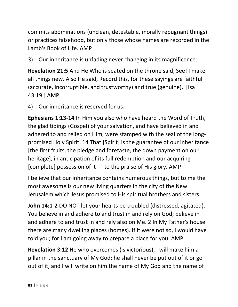commits abominations (unclean, detestable, morally repugnant things) or practices falsehood, but only those whose names are recorded in the Lamb's Book of Life. AMP

3) Our inheritance is unfading never changing in its magnificence:

**Revelation 21:5** And He Who is seated on the throne said, See! I make all things new. Also He said, Record this, for these sayings are faithful (accurate, incorruptible, and trustworthy) and true (genuine). [Isa 43:19.] AMP

4) Our inheritance is reserved for us:

**Ephesians 1:13-14** In Him you also who have heard the Word of Truth, the glad tidings (Gospel) of your salvation, and have believed in and adhered to and relied on Him, were stamped with the seal of the longpromised Holy Spirit. 14 That [Spirit] is the guarantee of our inheritance [the first fruits, the pledge and foretaste, the down payment on our heritage], in anticipation of its full redemption and our acquiring [complete] possession of it — to the praise of His glory. AMP

I believe that our inheritance contains numerous things, but to me the most awesome is our new living quarters in the city of the New Jerusalem which Jesus promised to His spiritual brothers and sisters:

**John 14:1-2** DO NOT let your hearts be troubled (distressed, agitated). You believe in and adhere to and trust in and rely on God; believe in and adhere to and trust in and rely also on Me. 2 In My Father's house there are many dwelling places (homes). If it were not so, I would have told you; for I am going away to prepare a place for you. AMP

**Revelation 3:12** He who overcomes (is victorious), I will make him a pillar in the sanctuary of My God; he shall never be put out of it or go out of it, and I will write on him the name of My God and the name of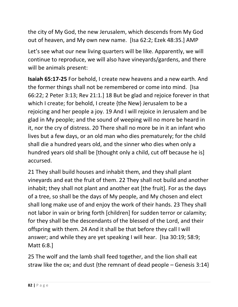the city of My God, the new Jerusalem, which descends from My God out of heaven, and My own new name. [Isa 62:2; Ezek 48:35.] AMP

Let's see what our new living quarters will be like. Apparently, we will continue to reproduce, we will also have vineyards/gardens, and there will be animals present:

**Isaiah 65:17-25** For behold, I create new heavens and a new earth. And the former things shall not be remembered or come into mind. [Isa 66:22; 2 Peter 3:13; Rev 21:1.] 18 But be glad and rejoice forever in that which I create; for behold, I create {the New} Jerusalem to be a rejoicing and her people a joy. 19 And I will rejoice in Jerusalem and be glad in My people; and the sound of weeping will no more be heard in it, nor the cry of distress. 20 There shall no more be in it an infant who lives but a few days, or an old man who dies prematurely; for the child shall die a hundred years old, and the sinner who dies when only a hundred years old shall be [thought only a child, cut off because he is] accursed.

21 They shall build houses and inhabit them, and they shall plant vineyards and eat the fruit of them. 22 They shall not build and another inhabit; they shall not plant and another eat [the fruit]. For as the days of a tree, so shall be the days of My people, and My chosen and elect shall long make use of and enjoy the work of their hands. 23 They shall not labor in vain or bring forth [children] for sudden terror or calamity; for they shall be the descendants of the blessed of the Lord, and their offspring with them. 24 And it shall be that before they call I will answer; and while they are yet speaking I will hear. [Isa 30:19; 58:9; Matt 6:8.]

25 The wolf and the lamb shall feed together, and the lion shall eat straw like the ox; and dust {the remnant of dead people – Genesis 3:14}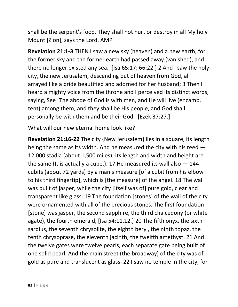shall be the serpent's food. They shall not hurt or destroy in all My holy Mount [Zion], says the Lord. AMP

**Revelation 21:1-3** THEN I saw a new sky (heaven) and a new earth, for the former sky and the former earth had passed away (vanished), and there no longer existed any sea. [Isa 65:17; 66:22.] 2 And I saw the holy city, the new Jerusalem, descending out of heaven from God, all arrayed like a bride beautified and adorned for her husband; 3 Then I heard a mighty voice from the throne and I perceived its distinct words, saying, See! The abode of God is with men, and He will live (encamp, tent) among them; and they shall be His people, and God shall personally be with them and be their God. [Ezek 37:27.]

What will our new eternal home look like?

**Revelation 21:16-22** The city {New Jerusalem} lies in a square, its length being the same as its width. And he measured the city with his reed — 12,000 stadia (about 1,500 miles); its length and width and height are the same {It is actually a cube.}. 17 He measured its wall also — 144 cubits (about 72 yards) by a man's measure [of a cubit from his elbow to his third fingertip], which is [the measure] of the angel. 18 The wall was built of jasper, while the city [itself was of] pure gold, clear and transparent like glass. 19 The foundation [stones] of the wall of the city were ornamented with all of the precious stones. The first foundation [stone] was jasper, the second sapphire, the third chalcedony (or white agate), the fourth emerald, [Isa 54:11,12.] 20 The fifth onyx, the sixth sardius, the seventh chrysolite, the eighth beryl, the ninth topaz, the tenth chrysoprase, the eleventh jacinth, the twelfth amethyst. 21 And the twelve gates were twelve pearls, each separate gate being built of one solid pearl. And the main street (the broadway) of the city was of gold as pure and translucent as glass. 22 I saw no temple in the city, for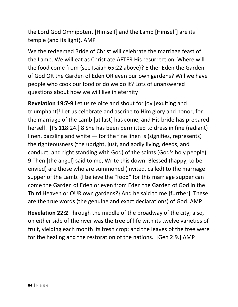the Lord God Omnipotent [Himself] and the Lamb [Himself] are its temple {and its light}. AMP

We the redeemed Bride of Christ will celebrate the marriage feast of the Lamb. We will eat as Christ ate AFTER His resurrection. Where will the food come from {see Isaiah 65:22 above}? Either Eden the Garden of God OR the Garden of Eden OR even our own gardens? Will we have people who cook our food or do we do it? Lots of unanswered questions about how we will live in eternity!

**Revelation 19:7-9** Let us rejoice and shout for joy [exulting and triumphant]! Let us celebrate and ascribe to Him glory and honor, for the marriage of the Lamb [at last] has come, and His bride has prepared herself. [Ps 118:24.] 8 She has been permitted to dress in fine (radiant) linen, dazzling and white  $-$  for the fine linen is (signifies, represents) the righteousness (the upright, just, and godly living, deeds, and conduct, and right standing with God) of the saints (God's holy people). 9 Then [the angel] said to me, Write this down: Blessed (happy, to be envied) are those who are summoned (invited, called) to the marriage supper of the Lamb. {I believe the "food" for this marriage supper can come the Garden of Eden or even from Eden the Garden of God in the Third Heaven or OUR own gardens?} And he said to me [further], These are the true words (the genuine and exact declarations) of God. AMP

**Revelation 22:2** Through the middle of the broadway of the city; also, on either side of the river was the tree of life with its twelve varieties of fruit, yielding each month its fresh crop; and the leaves of the tree were for the healing and the restoration of the nations. [Gen 2:9.] AMP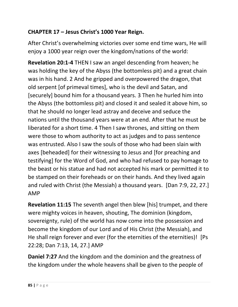### **CHAPTER 17 – Jesus Christ's 1000 Year Reign.**

After Christ's overwhelming victories over some end time wars, He will enjoy a 1000 year reign over the kingdom/nations of the world:

**Revelation 20:1-4** THEN I saw an angel descending from heaven; he was holding the key of the Abyss (the bottomless pit) and a great chain was in his hand. 2 And he gripped and overpowered the dragon, that old serpent [of primeval times], who is the devil and Satan, and [securely] bound him for a thousand years. 3 Then he hurled him into the Abyss (the bottomless pit) and closed it and sealed it above him, so that he should no longer lead astray and deceive and seduce the nations until the thousand years were at an end. After that he must be liberated for a short time. 4 Then I saw thrones, and sitting on them were those to whom authority to act as judges and to pass sentence was entrusted. Also I saw the souls of those who had been slain with axes [beheaded] for their witnessing to Jesus and [for preaching and testifying] for the Word of God, and who had refused to pay homage to the beast or his statue and had not accepted his mark or permitted it to be stamped on their foreheads or on their hands. And they lived again and ruled with Christ (the Messiah) a thousand years. [Dan 7:9, 22, 27.] AMP

**Revelation 11:15** The seventh angel then blew [his] trumpet, and there were mighty voices in heaven, shouting, The dominion (kingdom, sovereignty, rule) of the world has now come into the possession and become the kingdom of our Lord and of His Christ (the Messiah), and He shall reign forever and ever (for the eternities of the eternities)! [Ps 22:28; Dan 7:13, 14, 27.] AMP

**Daniel 7:27** And the kingdom and the dominion and the greatness of the kingdom under the whole heavens shall be given to the people of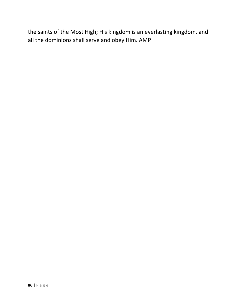the saints of the Most High; His kingdom is an everlasting kingdom, and all the dominions shall serve and obey Him. AMP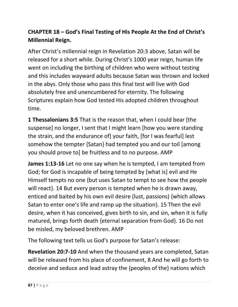# **CHAPTER 18 – God's Final Testing of His People At the End of Christ's Millennial Reign.**

After Christ's millennial reign in Revelation 20:3 above, Satan will be released for a short while. During Christ's 1000 year reign, human life went on including the birthing of children who were without testing and this includes wayward adults because Satan was thrown and locked in the abys. Only those who pass this final test will live with God absolutely free and unencumbered for eternity. The following Scriptures explain how God tested His adopted children throughout time.

**1 Thessalonians 3:5** That is the reason that, when I could bear [the suspense] no longer, I sent that I might learn [how you were standing the strain, and the endurance of] your faith, [for I was fearful] lest somehow the tempter {Satan} had tempted you and our toil [among you should prove to] be fruitless and to no purpose. AMP

**James 1:13-16** Let no one say when he is tempted, I am tempted from God; for God is incapable of being tempted by [what is] evil and He Himself tempts no one {but uses Satan to tempt to see how the people will react}. 14 But every person is tempted when he is drawn away, enticed and baited by his own evil desire (lust, passions) {which allows Satan to enter one's life and ramp up the situation}. 15 Then the evil desire, when it has conceived, gives birth to sin, and sin, when it is fully matured, brings forth death {eternal separation from God}. 16 Do not be misled, my beloved brethren. AMP

The following text tells us God's purpose for Satan's release:

**Revelation 20:7-10** And when the thousand years are completed, Satan will be released from his place of confinement, 8 And he will go forth to deceive and seduce and lead astray the {peoples of the} nations which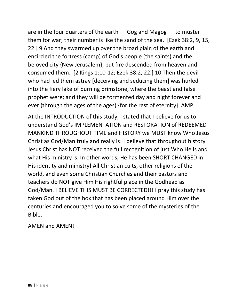are in the four quarters of the earth  $-$  Gog and Magog  $-$  to muster them for war; their number is like the sand of the sea. [Ezek 38:2, 9, 15, 22.] 9 And they swarmed up over the broad plain of the earth and encircled the fortress (camp) of God's people (the saints) and the beloved city {New Jerusalem}; but fire descended from heaven and consumed them. [2 Kings 1:10-12; Ezek 38:2, 22.] 10 Then the devil who had led them astray [deceiving and seducing them] was hurled into the fiery lake of burning brimstone, where the beast and false prophet were; and they will be tormented day and night forever and ever (through the ages of the ages) {for the rest of eternity}. AMP

At the INTRODUCTION of this study, I stated that I believe for us to understand God's IMPLEMENTATION and RESTORATION of REDEEMED MANKIND THROUGHOUT TIME and HISTORY we MUST know Who Jesus Christ as God/Man truly and really is! I believe that throughout history Jesus Christ has NOT received the full recognition of just Who He is and what His ministry is. In other words, He has been SHORT CHANGED in His identity and ministry! All Christian cults, other religions of the world, and even some Christian Churches and their pastors and teachers do NOT give Him His rightful place in the Godhead as God/Man. I BELIEVE THIS MUST BE CORRECTED!!! I pray this study has taken God out of the box that has been placed around Him over the centuries and encouraged you to solve some of the mysteries of the Bible.

AMEN and AMEN!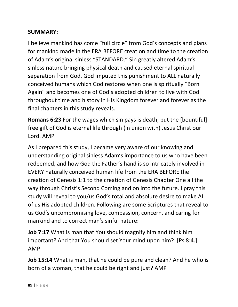#### **SUMMARY:**

I believe mankind has come "full circle" from God's concepts and plans for mankind made in the ERA BEFORE creation and time to the creation of Adam's original sinless "STANDARD." Sin greatly altered Adam's sinless nature bringing physical death and caused eternal spiritual separation from God. God imputed this punishment to ALL naturally conceived humans which God restores when one is spiritually "Born Again" and becomes one of God's adopted children to live with God throughout time and history in His Kingdom forever and forever as the final chapters in this study reveals.

**Romans 6:23** For the wages which sin pays is death, but the [bountiful] free gift of God is eternal life through (in union with) Jesus Christ our Lord. AMP

As I prepared this study, I became very aware of our knowing and understanding original sinless Adam's importance to us who have been redeemed, and how God the Father's hand is so intricately involved in EVERY naturally conceived human life from the ERA BEFORE the creation of Genesis 1:1 to the creation of Genesis Chapter One all the way through Christ's Second Coming and on into the future. I pray this study will reveal to you/us God's total and absolute desire to make ALL of us His adopted children. Following are some Scriptures that reveal to us God's uncompromising love, compassion, concern, and caring for mankind and to correct man's sinful nature:

**Job 7:17** What is man that You should magnify him and think him important? And that You should set Your mind upon him? [Ps 8:4.] AMP

**Job 15:14** What is man, that he could be pure and clean? And he who is born of a woman, that he could be right and just? AMP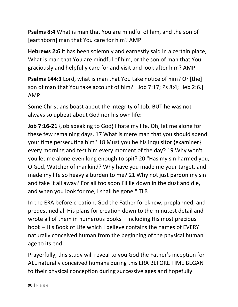**Psalms 8:4** What is man that You are mindful of him, and the son of [earthborn] man that You care for him? AMP

**Hebrews 2:6** It has been solemnly and earnestly said in a certain place, What is man that You are mindful of him, or the son of man that You graciously and helpfully care for and visit and look after him? AMP

**Psalms 144:3** Lord, what is man that You take notice of him? Or [the] son of man that You take account of him? [Job 7:17; Ps 8:4; Heb 2:6.] AMP

Some Christians boast about the integrity of Job, BUT he was not always so upbeat about God nor his own life:

**Job 7:16-21** {Job speaking to God} I hate my life. Oh, let me alone for these few remaining days. 17 What is mere man that you should spend your time persecuting him? 18 Must you be his inquisitor {examiner} every morning and test him every moment of the day? 19 Why won't you let me alone-even long enough to spit? 20 "Has my sin harmed you, O God, Watcher of mankind? Why have you made me your target, and made my life so heavy a burden to me? 21 Why not just pardon my sin and take it all away? For all too soon I'll lie down in the dust and die, and when you look for me, I shall be gone." TLB

In the ERA before creation, God the Father foreknew, preplanned, and predestined all His plans for creation down to the minutest detail and wrote all of them in numerous books – including His most precious book – His Book of Life which I believe contains the names of EVERY naturally conceived human from the beginning of the physical human age to its end.

Prayerfully, this study will reveal to you God the Father's inception for ALL naturally conceived humans during this ERA BEFORE TIME BEGAN to their physical conception during successive ages and hopefully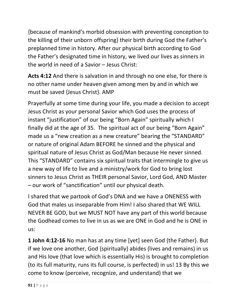{because of mankind's morbid obsession with preventing conception to the killing of their unborn offspring} their birth during God the Father's preplanned time in history. After our physical birth according to God the Father's designated time in history, we lived our lives as sinners in the world in need of a Savior – Jesus Christ:

**Acts 4:12** And there is salvation in and through no one else, for there is no other name under heaven given among men by and in which we must be saved {Jesus Christ}. AMP

Prayerfully at some time during your life, you made a decision to accept Jesus Christ as your personal Savior which God uses the process of instant "justification" of our being "Born Again" spiritually which I finally did at the age of 35. The spiritual act of our being "Born Again" made us a "new creation as a new creature" bearing the "STANDARD" or nature of original Adam BEFORE he sinned and the physical and spiritual nature of Jesus Christ as God/Man because He never sinned. This "STANDARD" contains six spiritual traits that intermingle to give us a new way of life to live and a ministry/work for God to bring lost sinners to Jesus Christ as THEIR personal Savior, Lord God, AND Master – our work of "sanctification" until our physical death.

I shared that we partook of God's DNA and we have a ONENESS with God that males us inseparable from Him! I also shared that WE WILL NEVER BE GOD, but we MUST NOT have any part of this world because the Godhead comes to live in us as we are ONE in God and he is ONE in us:

**1 John 4:12-16** No man has at any time [yet] seen God {the Father}. But if we love one another, God {spiritually} abides (lives and remains) in us and His love (that love which is essentially His) is brought to completion (to its full maturity, runs its full course, is perfected) in us! 13 By this we come to know (perceive, recognize, and understand) that we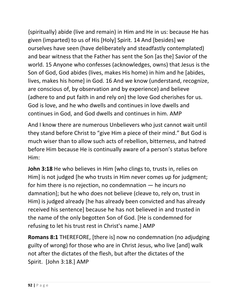{spiritually} abide (live and remain) in Him and He in us: because He has given (imparted) to us of His [Holy] Spirit. 14 And [besides] we ourselves have seen (have deliberately and steadfastly contemplated) and bear witness that the Father has sent the Son [as the] Savior of the world. 15 Anyone who confesses (acknowledges, owns) that Jesus is the Son of God, God abides (lives, makes His home) in him and he [abides, lives, makes his home] in God. 16 And we know (understand, recognize, are conscious of, by observation and by experience) and believe (adhere to and put faith in and rely on) the love God cherishes for us. God is love, and he who dwells and continues in love dwells and continues in God, and God dwells and continues in him. AMP

And I know there are numerous Unbelievers who just cannot wait until they stand before Christ to "give Him a piece of their mind." But God is much wiser than to allow such acts of rebellion, bitterness, and hatred before Him because He is continually aware of a person's status before Him:

**John 3:18** He who believes in Him [who clings to, trusts in, relies on Him] is not judged [he who trusts in Him never comes up for judgment; for him there is no rejection, no condemnation — he incurs no damnation]; but he who does not believe (cleave to, rely on, trust in Him) is judged already [he has already been convicted and has already received his sentence] because he has not believed in and trusted in the name of the only begotten Son of God. [He is condemned for refusing to let his trust rest in Christ's name.] AMP

**Romans 8:1** THEREFORE, [there is] now no condemnation (no adjudging guilty of wrong) for those who are in Christ Jesus, who live [and] walk not after the dictates of the flesh, but after the dictates of the Spirit. [John 3:18.] AMP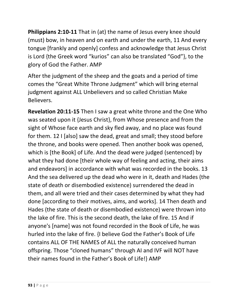**Philippians 2:10-11** That in (at) the name of Jesus every knee should (must) bow, in heaven and on earth and under the earth, 11 And every tongue [frankly and openly] confess and acknowledge that Jesus Christ is Lord {the Greek word "kurios" can also be translated "God"}, to the glory of God the Father. AMP

After the judgment of the sheep and the goats and a period of time comes the "Great White Throne Judgment" which will bring eternal judgment against ALL Unbelievers and so called Christian Make Believers.

**Revelation 20:11-15** Then I saw a great white throne and the One Who was seated upon it {Jesus Christ}, from Whose presence and from the sight of Whose face earth and sky fled away, and no place was found for them. 12 I [also] saw the dead, great and small; they stood before the throne, and books were opened. Then another book was opened, which is [the Book] of Life. And the dead were judged (sentenced) by what they had done [their whole way of feeling and acting, their aims and endeavors] in accordance with what was recorded in the books. 13 And the sea delivered up the dead who were in it, death and Hades (the state of death or disembodied existence) surrendered the dead in them, and all were tried and their cases determined by what they had done [according to their motives, aims, and works]. 14 Then death and Hades (the state of death or disembodied existence) were thrown into the lake of fire. This is the second death, the lake of fire. 15 And if anyone's [name] was not found recorded in the Book of Life, he was hurled into the lake of fire. {I believe God the Father's Book of Life contains ALL OF THE NAMES of ALL the naturally conceived human offspring. Those "cloned humans" through AI and IVF will NOT have their names found in the Father's Book of Life!} AMP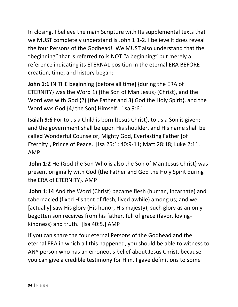In closing, I believe the main Scripture with Its supplemental texts that we MUST completely understand is John 1:1-2. I believe It does reveal the four Persons of the Godhead! We MUST also understand that the "beginning" that is referred to is NOT "a beginning" but merely a reference indicating its ETERNAL position in the eternal ERA BEFORE creation, time, and history began:

**John 1:1** IN THE beginning [before all time] {during the ERA of ETERNITY} was the Word 1) {the Son of Man Jesus} (Christ), and the Word was with God {2) {the Father and 3) God the Holy Spirit}, and the Word was God {4*)* the Son} Himself. [Isa 9:6.]

**Isaiah 9:6** For to us a Child is born {Jesus Christ}, to us a Son is given; and the government shall be upon His shoulder, and His name shall be called Wonderful Counselor, Mighty God, Everlasting Father [of Eternity], Prince of Peace. [Isa 25:1; 40:9-11; Matt 28:18; Luke 2:11.] AMP

**John 1:2** He {God the Son Who is also the Son of Man Jesus Christ} was present originally with God {the Father and God the Holy Spirit during the ERA of ETERNITY}. AMP

**John 1:14** And the Word (Christ) became flesh (human, incarnate) and tabernacled (fixed His tent of flesh, lived awhile) among us; and we [actually] saw His glory (His honor, His majesty), such glory as an only begotten son receives from his father, full of grace (favor, lovingkindness) and truth. [Isa 40:5.] AMP

If you can share the four eternal Persons of the Godhead and the eternal ERA in which all this happened, you should be able to witness to ANY person who has an erroneous belief about Jesus Christ, because you can give a credible testimony for Him. I gave definitions to some